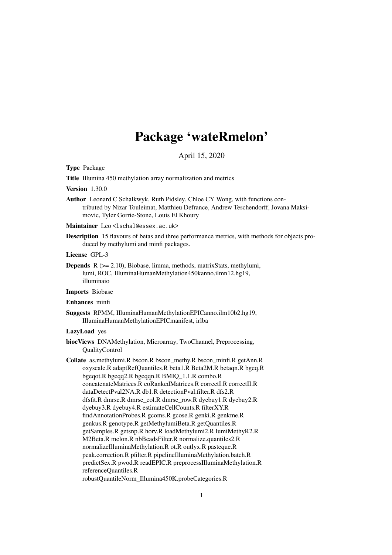# Package 'wateRmelon'

April 15, 2020

<span id="page-0-0"></span>Type Package

Title Illumina 450 methylation array normalization and metrics

Version 1.30.0

Author Leonard C Schalkwyk, Ruth Pidsley, Chloe CY Wong, with functions contributed by Nizar Touleimat, Matthieu Defrance, Andrew Teschendorff, Jovana Maksimovic, Tyler Gorrie-Stone, Louis El Khoury

Maintainer Leo<lschal@essex.ac.uk>

- Description 15 flavours of betas and three performance metrics, with methods for objects produced by methylumi and minfi packages.
- License GPL-3
- Depends R (>= 2.10), Biobase, limma, methods, matrixStats, methylumi, lumi, ROC, IlluminaHumanMethylation450kanno.ilmn12.hg19, illuminaio

Imports Biobase

#### Enhances minfi

Suggests RPMM, IlluminaHumanMethylationEPICanno.ilm10b2.hg19, IlluminaHumanMethylationEPICmanifest, irlba

#### LazyLoad yes

- biocViews DNAMethylation, Microarray, TwoChannel, Preprocessing, QualityControl
- Collate as.methylumi.R bscon.R bscon\_methy.R bscon\_minfi.R getAnn.R oxyscale.R adaptRefQuantiles.R beta1.R Beta2M.R betaqn.R bgeq.R bgeqot.R bgeqq2.R bgeqqn.R BMIQ\_1.1.R combo.R concatenateMatrices.R coRankedMatrices.R correctI.R correctII.R dataDetectPval2NA.R db1.R detectionPval.filter.R dfs2.R dfsfit.R dmrse.R dmrse\_col.R dmrse\_row.R dyebuy1.R dyebuy2.R dyebuy3.R dyebuy4.R estimateCellCounts.R filterXY.R findAnnotationProbes.R gcoms.R gcose.R genki.R genkme.R genkus.R genotype.R getMethylumiBeta.R getQuantiles.R getSamples.R getsnp.R horv.R loadMethylumi2.R lumiMethyR2.R M2Beta.R melon.R nbBeadsFilter.R normalize.quantiles2.R normalizeIlluminaMethylation.R ot.R outlyx.R pasteque.R peak.correction.R pfilter.R pipelineIlluminaMethylation.batch.R predictSex.R pwod.R readEPIC.R preprocessIlluminaMethylation.R referenceQuantiles.R robustQuantileNorm\_Illumina450K.probeCategories.R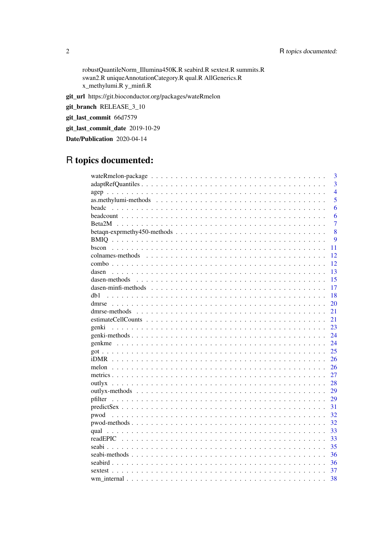robustQuantileNorm\_Illumina450K.R seabird.R sextest.R summits.R swan2.R uniqueAnnotationCategory.R qual.R AllGenerics.R x\_methylumi.R y\_minfi.R

git\_url https://git.bioconductor.org/packages/wateRmelon

git\_branch RELEASE\_3\_10

git\_last\_commit 66d7579

git\_last\_commit\_date 2019-10-29

Date/Publication 2020-04-14

# R topics documented:

|                     | 3              |
|---------------------|----------------|
|                     |                |
|                     | $\overline{3}$ |
|                     | $\overline{4}$ |
|                     | 5              |
| beadc               | 6              |
|                     | 6              |
|                     | $\overline{7}$ |
|                     | 8              |
|                     | 9              |
|                     | 11             |
| colnames-methods    | 12             |
|                     | 12             |
| dasen               | 13             |
| dasen-methods       | 15             |
| dasen-minfi-methods | 17             |
| db1                 | 18             |
|                     |                |
|                     | 20             |
|                     | 21             |
|                     | 21             |
| genki               | 23             |
|                     | 24             |
|                     | 24             |
|                     | 25             |
|                     | 26             |
| melon               | 26             |
|                     | 27             |
|                     | 28             |
|                     | 29             |
| pfilter             | 29             |
|                     | 31             |
| pwod                | 32             |
|                     | 32             |
|                     | 33             |
|                     | 33             |
|                     |                |
|                     | 35             |
|                     | 36             |
|                     | 36             |
| sextest             | 37             |
|                     | 38             |

 $\overline{2}$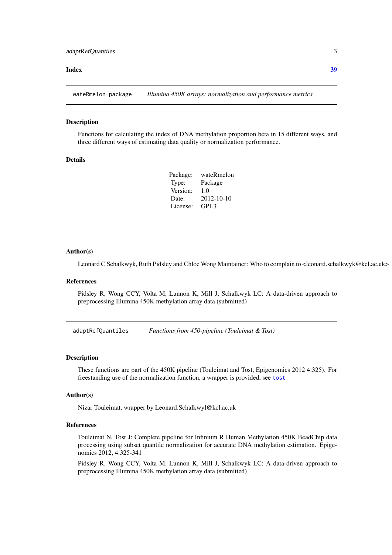#### <span id="page-2-0"></span>**Index** [39](#page-38-0)

wateRmelon-package *Illumina 450K arrays: normalization and performance metrics*

#### **Description**

Functions for calculating the index of DNA methylation proportion beta in 15 different ways, and three different ways of estimating data quality or normalization performance.

# Details

| Package: | wateRmelon       |
|----------|------------------|
| Type:    | Package          |
| Version: | 1.0              |
| Date:    | 2012-10-10       |
| License: | GPL <sub>3</sub> |

#### Author(s)

Leonard C Schalkwyk, Ruth Pidsley and Chloe Wong Maintainer: Who to complain to <leonard.schalkwyk@kcl.ac.uk>

# References

Pidsley R, Wong CCY, Volta M, Lunnon K, Mill J, Schalkwyk LC: A data-driven approach to preprocessing Illumina 450K methylation array data (submitted)

adaptRefQuantiles *Functions from 450-pipeline (Touleimat & Tost)*

# Description

These functions are part of the 450K pipeline (Touleimat and Tost, Epigenomics 2012 4:325). For freestanding use of the normalization function, a wrapper is provided, see [tost](#page-12-1)

#### Author(s)

Nizar Touleimat, wrapper by Leonard.Schalkwyl@kcl.ac.uk

#### References

Touleimat N, Tost J: Complete pipeline for Infinium R Human Methylation 450K BeadChip data processing using subset quantile normalization for accurate DNA methylation estimation. Epigenomics 2012, 4:325-341

Pidsley R, Wong CCY, Volta M, Lunnon K, Mill J, Schalkwyk LC: A data-driven approach to preprocessing Illumina 450K methylation array data (submitted)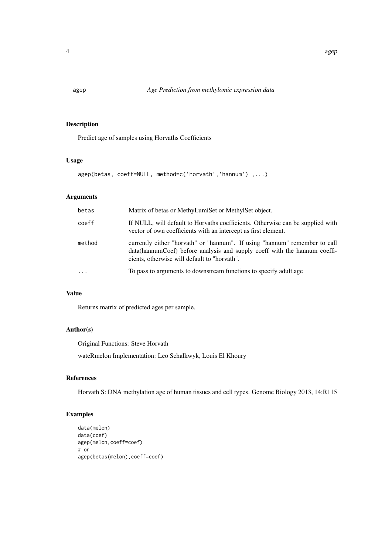Predict age of samples using Horvaths Coefficients

# Usage

```
agep(betas, coeff=NULL, method=c('horvath','hannum') ,...)
```
# Arguments

| betas     | Matrix of betas or MethyLumiSet or MethylSet object.                                                                                                                                                      |
|-----------|-----------------------------------------------------------------------------------------------------------------------------------------------------------------------------------------------------------|
| coeff     | If NULL, will default to Horvaths coefficients. Otherwise can be supplied with<br>vector of own coefficients with an intercept as first element.                                                          |
| method    | currently either "horvath" or "hannum". If using "hannum" remember to call<br>data (hannum Coef) before analysis and supply coeff with the hannum coeffi-<br>cients, otherwise will default to "horvath". |
| $\ddotsc$ | To pass to arguments to downstream functions to specify adultage                                                                                                                                          |

# Value

Returns matrix of predicted ages per sample.

# Author(s)

Original Functions: Steve Horvath wateRmelon Implementation: Leo Schalkwyk, Louis El Khoury

# References

Horvath S: DNA methylation age of human tissues and cell types. Genome Biology 2013, 14:R115

# Examples

```
data(melon)
data(coef)
agep(melon,coeff=coef)
# or
agep(betas(melon),coeff=coef)
```
<span id="page-3-0"></span>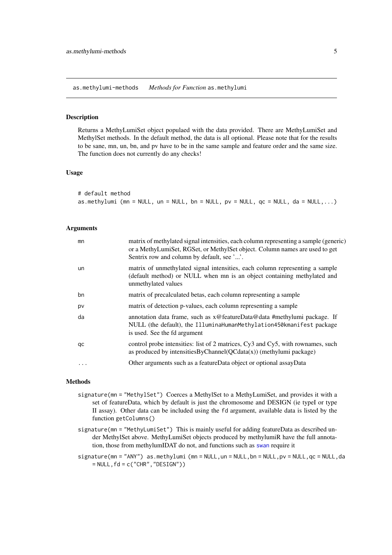<span id="page-4-0"></span>as.methylumi-methods *Methods for Function* as.methylumi

#### <span id="page-4-1"></span>Description

Returns a MethyLumiSet object populaed with the data provided. There are MethyLumiSet and MethylSet methods. In the default method, the data is all optional. Please note that for the results to be sane, mn, un, bn, and pv have to be in the same sample and feature order and the same size. The function does not currently do any checks!

#### Usage

| # default method                                                                        |  |  |  |  |
|-----------------------------------------------------------------------------------------|--|--|--|--|
| as.methylumi (mn = NULL, un = NULL, bn = NULL, pv = NULL, $qc = NULL$ , $da = NULL$ , ) |  |  |  |  |

# Arguments

| mn | matrix of methylated signal intensities, each column representing a sample (generic)<br>or a MethyLumiSet, RGSet, or MethylSet object. Column names are used to get<br>Sentrix row and column by default, see ''. |
|----|-------------------------------------------------------------------------------------------------------------------------------------------------------------------------------------------------------------------|
| un | matrix of unmethylated signal intensities, each column representing a sample<br>(default method) or NULL when mn is an object containing methylated and<br>unmethylated values                                    |
| bn | matrix of precalculated betas, each column representing a sample                                                                                                                                                  |
| pv | matrix of detection p-values, each column representing a sample                                                                                                                                                   |
| da | annotation data frame, such as x@featureData@data #methylumi package. If<br>NULL (the default), the IlluminaHumanMethylation450kmanifest package<br>is used. See the fd argument                                  |
| qc | control probe intensities: list of 2 matrices, Cy3 and Cy5, with rownames, such<br>as produced by intensities $ByChannel(QCdata(x))$ (methylumi package)                                                          |
| .  | Other arguments such as a featureData object or optional assayData                                                                                                                                                |
|    |                                                                                                                                                                                                                   |

# Methods

- signature(mn = "MethylSet") Coerces a MethylSet to a MethyLumiSet, and provides it with a set of featureData, which by default is just the chromosome and DESIGN (ie typeI or type II assay). Other data can be included using the fd argument, available data is listed by the function getColumns()
- signature(mn = "MethyLumiSet") This is mainly useful for adding featureData as described under MethylSet above. MethyLumiSet objects produced by methylumiR have the full annotation, those from methylumIDAT do not, and functions such as [swan](#page-12-1) require it
- signature(mn = "ANY") as.methylumi (mn = NULL, un = NULL, bn = NULL, pv = NULL, qc = NULL, da  $=$  NULL,  $fd = c("CHR", "DESIGN")$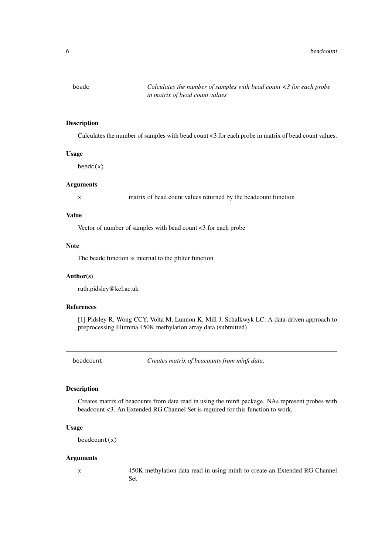<span id="page-5-0"></span>

Calculates the number of samples with bead count <3 for each probe in matrix of bead count values.

#### Usage

beadc(x)

# Arguments

x matrix of bead count values returned by the beadcount function

# Value

Vector of number of samples with bead count <3 for each probe

#### Note

The beadc function is internal to the pfilter function

#### Author(s)

ruth.pidsley@kcl.ac.uk

#### References

[1] Pidsley R, Wong CCY, Volta M, Lunnon K, Mill J, Schalkwyk LC: A data-driven approach to preprocessing Illumina 450K methylation array data (submitted)

beadcount *Creates matrix of beacounts from minfi data.*

# Description

Creates matrix of beacounts from data read in using the minfi package. NAs represent probes with beadcount <3. An Extended RG Channel Set is required for this function to work.

#### Usage

```
beadcount(x)
```
#### Arguments

x 450K methylation data read in using minfi to create an Extended RG Channel Set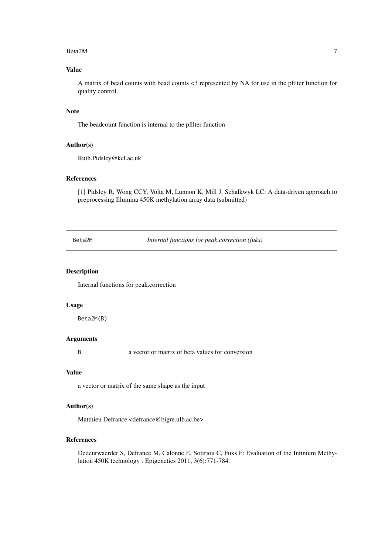#### <span id="page-6-0"></span> $Beta2M$  7

# Value

A matrix of bead counts with bead counts <3 represented by NA for use in the pfilter function for quality control

# Note

The beadcount function is internal to the pfilter function

# Author(s)

Ruth.Pidsley@kcl.ac.uk

# References

[1] Pidsley R, Wong CCY, Volta M, Lunnon K, Mill J, Schalkwyk LC: A data-driven approach to preprocessing Illumina 450K methylation array data (submitted)

Beta2M *Internal functions for peak.correction (fuks)*

# Description

Internal functions for peak.correction

#### Usage

Beta2M(B)

# Arguments

B a vector or matrix of beta values for conversion

# Value

a vector or matrix of the same shape as the input

#### Author(s)

Matthieu Defrance <defrance@bigre.ulb.ac.be>

#### References

Dedeurwaerder S, Defrance M, Calonne E, Sotiriou C, Fuks F: Evaluation of the Infinium Methylation 450K technology . Epigenetics 2011, 3(6):771-784.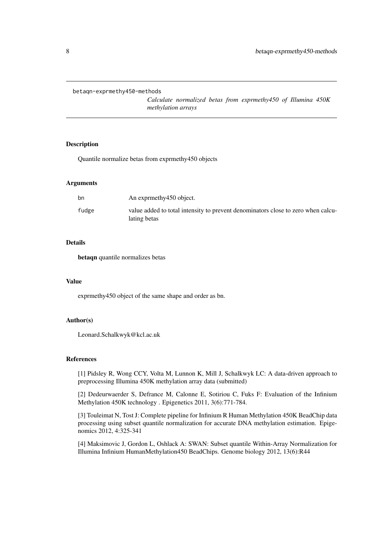<span id="page-7-0"></span>betaqn-exprmethy450-methods

*Calculate normalized betas from exprmethy450 of Illumina 450K methylation arrays*

#### Description

Quantile normalize betas from exprmethy450 objects

# Arguments

| bn    | An exprmethy 450 object.                                                                         |
|-------|--------------------------------------------------------------------------------------------------|
| fudge | value added to total intensity to prevent denominators close to zero when calcu-<br>lating betas |

# Details

betaqn quantile normalizes betas

#### Value

exprmethy450 object of the same shape and order as bn.

# Author(s)

Leonard.Schalkwyk@kcl.ac.uk

#### References

[1] Pidsley R, Wong CCY, Volta M, Lunnon K, Mill J, Schalkwyk LC: A data-driven approach to preprocessing Illumina 450K methylation array data (submitted)

[2] Dedeurwaerder S, Defrance M, Calonne E, Sotiriou C, Fuks F: Evaluation of the Infinium Methylation 450K technology . Epigenetics 2011, 3(6):771-784.

[3] Touleimat N, Tost J: Complete pipeline for Infinium R Human Methylation 450K BeadChip data processing using subset quantile normalization for accurate DNA methylation estimation. Epigenomics 2012, 4:325-341

[4] Maksimovic J, Gordon L, Oshlack A: SWAN: Subset quantile Within-Array Normalization for Illumina Infinium HumanMethylation450 BeadChips. Genome biology 2012, 13(6):R44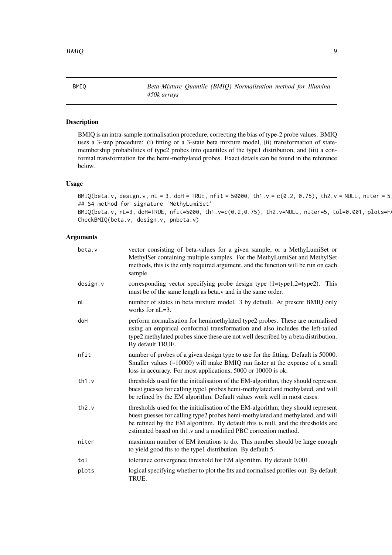<span id="page-8-0"></span>BMIQ *Beta-Mixture Quantile (BMIQ) Normalisation method for Illumina 450k arrays*

# Description

BMIQ is an intra-sample normalisation procedure, correcting the bias of type-2 probe values. BMIQ uses a 3-step procedure: (i) fitting of a 3-state beta mixture model, (ii) transformation of statemembership probabilities of type2 probes into quantiles of the type1 distribution, and (iii) a conformal transformation for the hemi-methylated probes. Exact details can be found in the reference below.

# Usage

BMIQ(beta.v, design.v, nL = 3, doH = TRUE, nfit = 50000, th1.v = c(0.2, 0.75), th2.v = NULL, niter = 5 ## S4 method for signature 'MethyLumiSet'  $BMIQ(beta.v, nL=3, dol=TRUE, nfit=5000, th1.v=c(0.2, 0.75), th2.v=NULL, niter=5, tol=0.001, plots=FAP$ CheckBMIQ(beta.v, design.v, pnbeta.v)

# Arguments

| beta.v   | vector consisting of beta-values for a given sample, or a MethyLumiSet or<br>MethylSet containing multiple samples. For the MethyLumiSet and MethylSet<br>methods, this is the only required argument, and the function will be run on each<br>sample.                                                                    |
|----------|---------------------------------------------------------------------------------------------------------------------------------------------------------------------------------------------------------------------------------------------------------------------------------------------------------------------------|
| design.v | corresponding vector specifying probe design type (1=type1,2=type2).<br>This<br>must be of the same length as beta. v and in the same order.                                                                                                                                                                              |
| nL       | number of states in beta mixture model. 3 by default. At present BMIQ only<br>works for $nL=3$ .                                                                                                                                                                                                                          |
| doH      | perform normalisation for hemimethylated type2 probes. These are normalised<br>using an empirical conformal transformation and also includes the left-tailed<br>type2 methylated probes since these are not well described by a beta distribution.<br>By default TRUE.                                                    |
| nfit     | number of probes of a given design type to use for the fitting. Default is 50000.<br>Smaller values (~10000) will make BMIQ run faster at the expense of a small<br>loss in accuracy. For most applications, 5000 or 10000 is ok.                                                                                         |
| th1.v    | thresholds used for the initialisation of the EM-algorithm, they should represent<br>buest guesses for calling type1 probes hemi-methylated and methylated, and will<br>be refined by the EM algorithm. Default values work well in most cases.                                                                           |
| th2.v    | thresholds used for the initialisation of the EM-algorithm, they should represent<br>buest guesses for calling type2 probes hemi-methylated and methylated, and will<br>be refined by the EM algorithm. By default this is null, and the thresholds are<br>estimated based on th1.v and a modified PBC correction method. |
| niter    | maximum number of EM iterations to do. This number should be large enough<br>to yield good fits to the type1 distribution. By default 5.                                                                                                                                                                                  |
| tol      | tolerance convergence threshold for EM algorithm. By default 0.001.                                                                                                                                                                                                                                                       |
| plots    | logical specifying whether to plot the fits and normalised profiles out. By default<br>TRUE.                                                                                                                                                                                                                              |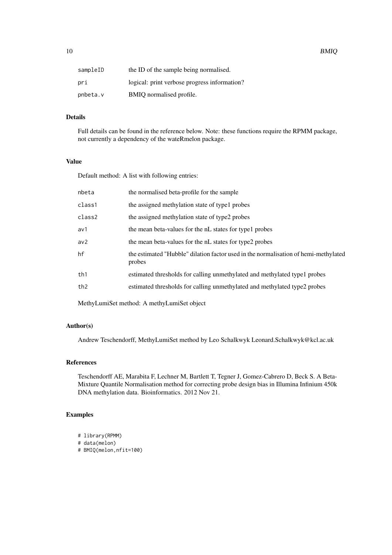| sampleID | the ID of the sample being normalised.       |
|----------|----------------------------------------------|
| pri      | logical: print verbose progress information? |
| pnbeta.v | BMIQ normalised profile.                     |

# Details

Full details can be found in the reference below. Note: these functions require the RPMM package, not currently a dependency of the wateRmelon package.

# Value

Default method: A list with following entries:

| nbeta           | the normalised beta-profile for the sample                                                    |
|-----------------|-----------------------------------------------------------------------------------------------|
| class1          | the assigned methylation state of type1 probes                                                |
| class2          | the assigned methylation state of type2 probes                                                |
| av1             | the mean beta-values for the nL states for type l probes                                      |
| av <sub>2</sub> | the mean beta-values for the nL states for type2 probes                                       |
| hf              | the estimated "Hubble" dilation factor used in the normalisation of hemi-methylated<br>probes |
| th1             | estimated thresholds for calling unmethylated and methylated type1 probes                     |
| th <sub>2</sub> | estimated thresholds for calling unmethylated and methylated type2 probes                     |
|                 |                                                                                               |

MethyLumiSet method: A methyLumiSet object

# Author(s)

Andrew Teschendorff, MethyLumiSet method by Leo Schalkwyk Leonard.Schalkwyk@kcl.ac.uk

#### References

Teschendorff AE, Marabita F, Lechner M, Bartlett T, Tegner J, Gomez-Cabrero D, Beck S. A Beta-Mixture Quantile Normalisation method for correcting probe design bias in Illumina Infinium 450k DNA methylation data. Bioinformatics. 2012 Nov 21.

# Examples

- # library(RPMM)
- # data(melon)
- # BMIQ(melon,nfit=100)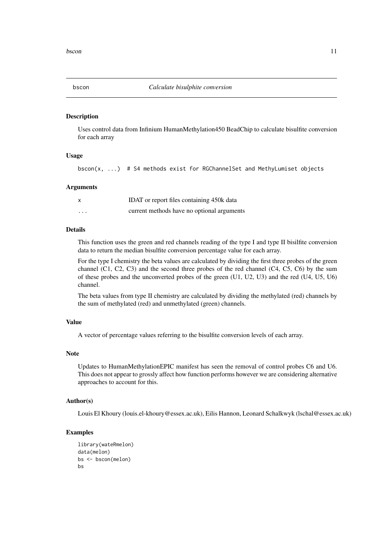<span id="page-10-0"></span>

Uses control data from Infinium HumanMethylation450 BeadChip to calculate bisulfite conversion for each array

# Usage

bscon(x,  $\ldots$ ) # S4 methods exist for RGChannelSet and MethyLumiset objects

#### Arguments

| $\times$ | IDAT or report files containing 450k data  |
|----------|--------------------------------------------|
| $\cdots$ | current methods have no optional arguments |

# Details

This function uses the green and red channels reading of the type I and type II bisilfite conversion data to return the median bisulfite conversion percentage value for each array.

For the type I chemistry the beta values are calculated by dividing the first three probes of the green channel (C1, C2, C3) and the second three probes of the red channel (C4, C5, C6) by the sum of these probes and the unconverted probes of the green (U1, U2, U3) and the red (U4, U5, U6) channel.

The beta values from type II chemistry are calculated by dividing the methylated (red) channels by the sum of methylated (red) and unmethylated (green) channels.

# Value

A vector of percentage values referring to the bisulfite conversion levels of each array.

#### Note

Updates to HumanMethylationEPIC manifest has seen the removal of control probes C6 and U6. This does not appear to grossly affect how function performs however we are considering alternative approaches to account for this.

#### Author(s)

Louis El Khoury (louis.el-khoury@essex.ac.uk), Eilis Hannon, Leonard Schalkwyk (lschal@essex.ac.uk)

#### Examples

```
library(wateRmelon)
data(melon)
bs <- bscon(melon)
bs
```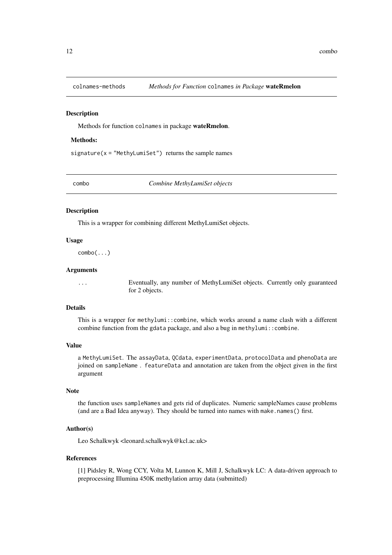<span id="page-11-0"></span>

Methods for function colnames in package wateRmelon.

#### Methods:

signature( $x =$  "MethyLumiSet") returns the sample names

combo *Combine MethyLumiSet objects*

#### Description

This is a wrapper for combining different MethyLumiSet objects.

#### Usage

combo(...)

# Arguments

... Eventually, any number of MethyLumiSet objects. Currently only guaranteed for 2 objects.

# Details

This is a wrapper for methylumi::combine, which works around a name clash with a different combine function from the gdata package, and also a bug in methylumi::combine.

# Value

a MethyLumiSet. The assayData, QCdata, experimentData, protocolData and phenoData are joined on sampleName . featureData and annotation are taken from the object given in the first argument

# Note

the function uses sampleNames and gets rid of duplicates. Numeric sampleNames cause problems (and are a Bad Idea anyway). They should be turned into names with make.names() first.

# Author(s)

Leo Schalkwyk <leonard.schalkwyk@kcl.ac.uk>

#### References

[1] Pidsley R, Wong CCY, Volta M, Lunnon K, Mill J, Schalkwyk LC: A data-driven approach to preprocessing Illumina 450K methylation array data (submitted)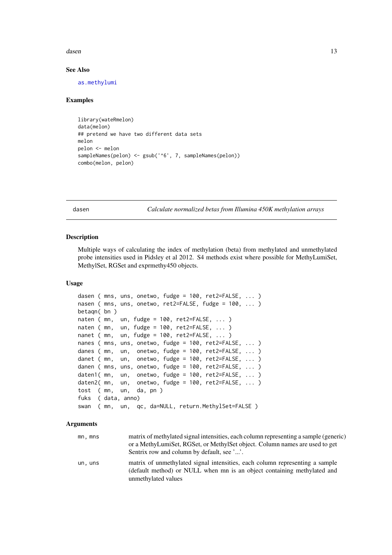<span id="page-12-0"></span>dasen 13 metal besteht in de staat 13 metal besteht in de staat 13 metal besteht in de staat 13 metal besteht in de staat 13 metal besteht in de staat 13 metal besteht in de staat 13 metal besteht in de staat 13 metal best

#### See Also

[as.methylumi](#page-4-1)

# Examples

```
library(wateRmelon)
data(melon)
## pretend we have two different data sets
melon
pelon <- melon
sampleNames(pelon) <- gsub('^6', 7, sampleNames(pelon))
combo(melon, pelon)
```
<span id="page-12-2"></span>dasen *Calculate normalized betas from Illumina 450K methylation arrays*

# <span id="page-12-1"></span>Description

Multiple ways of calculating the index of methylation (beta) from methylated and unmethylated probe intensities used in Pidsley et al 2012. S4 methods exist where possible for MethyLumiSet, MethylSet, RGSet and exprmethy450 objects.

#### Usage

```
dasen ( mns, uns, onetwo, fudge = 100, ret2=FALSE, ... )
nasen ( mns, uns, onetwo, ret2=FALSE, fudge = 100, ... )
betaqn( bn )
naten (mn, un, fudge = 100, ret2=FALSE, ... )
naten ( mn, un, fudge = 100, ret2=FALSE, ... )
nanet ( mn, un, fudge = 100, ret2=FALSE, ... )
nanes ( mns, uns, onetwo, fudge = 100, ret2=FALSE, ... )
danes ( mn, un, onetwo, fudge = 100, ret2=FALSE, ... )
danet ( mn, un, onetwo, fudge = 100, ret2=FALSE, ... )
danen ( mns, uns, onetwo, fudge = 100, ret2=FALSE, ... )
daten1( mn, un, onetwo, fudge = 100, ret2=FALSE, ... )
daten2( mn, un, onetwo, fudge = 100, ret2=FALSE, ... )
tost ( mn, un, da, pn )
fuks ( data, anno)
swan ( mn, un, qc, da=NULL, return.MethylSet=FALSE )
```
#### Arguments

| mn, mns | matrix of methylated signal intensities, each column representing a sample (generic)<br>or a MethyLumiSet, RGSet, or MethylSet object. Column names are used to get<br>Sentrix row and column by default, see ''. |
|---------|-------------------------------------------------------------------------------------------------------------------------------------------------------------------------------------------------------------------|
| un, uns | matrix of unmethylated signal intensities, each column representing a sample<br>(default method) or NULL when mn is an object containing methylated and<br>unmethylated values                                    |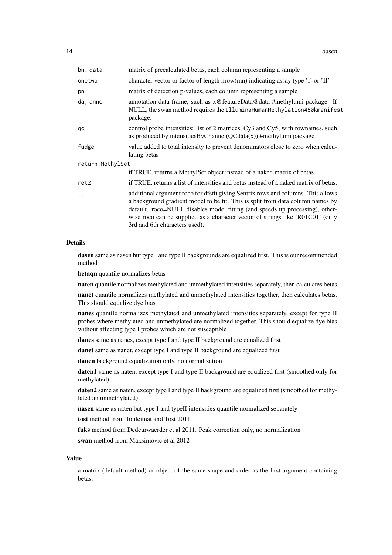| bn, data         | matrix of precalculated betas, each column representing a sample                                                                                                                                                                                                                                                                                                      |
|------------------|-----------------------------------------------------------------------------------------------------------------------------------------------------------------------------------------------------------------------------------------------------------------------------------------------------------------------------------------------------------------------|
| onetwo           | character vector or factor of length nrow(mn) indicating assay type 'I' or 'II'                                                                                                                                                                                                                                                                                       |
| pn               | matrix of detection p-values, each column representing a sample                                                                                                                                                                                                                                                                                                       |
| da, anno         | annotation data frame, such as x@featureData@data #methylumi package. If<br>NULL, the swan method requires the IlluminaHumanMethylation450kmanifest<br>package.                                                                                                                                                                                                       |
| qc               | control probe intensities: list of 2 matrices, Cy3 and Cy5, with rownames, such<br>as produced by intensities ByChannel ( $QCdata(x)$ ) #methylumi package                                                                                                                                                                                                            |
| fudge            | value added to total intensity to prevent denominators close to zero when calcu-<br>lating betas                                                                                                                                                                                                                                                                      |
| return.MethylSet |                                                                                                                                                                                                                                                                                                                                                                       |
|                  | if TRUE, returns a MethylSet object instead of a naked matrix of betas.                                                                                                                                                                                                                                                                                               |
| ret2             | if TRUE, returns a list of intensities and betas instead of a naked matrix of betas.                                                                                                                                                                                                                                                                                  |
| $\ddotsc$        | additional argument roco for dfsfit giving Sentrix rows and columns. This allows<br>a background gradient model to be fit. This is split from data column names by<br>default. roco=NULL disables model fitting (and speeds up processing), other-<br>wise roco can be supplied as a character vector of strings like 'R01C01' (only<br>3rd and 6th characters used). |

# Details

dasen same as nasen but type I and type II backgrounds are equalized first. This is our recommended method

betaqn quantile normalizes betas

naten quantile normalizes methylated and unmethylated intensities separately, then calculates betas

nanet quantile normalizes methylated and unmethylated intensities together, then calculates betas. This should equalize dye bias

nanes quantile normalizes methylated and unmethylated intensities separately, except for type II probes where methylated and unmethylated are normalized together. This should equalize dye bias without affecting type I probes which are not susceptible

danes same as nanes, except type I and type II background are equalized first

danet same as nanet, except type I and type II background are equalized first

danen background equalization only, no normalization

daten1 same as naten, except type I and type II background are equalized first (smoothed only for methylated)

daten2 same as naten, except type I and type II background are equalized first (smoothed for methylated an unmethylated)

nasen same as naten but type I and typeII intensities quantile normalized separately

tost method from Touleimat and Tost 2011

fuks method from Dedeurwaerder et al 2011. Peak correction only, no normalization

swan method from Maksimovic et al 2012

#### Value

a matrix (default method) or object of the same shape and order as the first argument containing betas.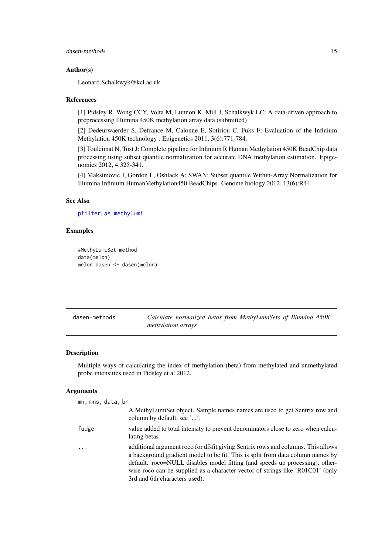#### <span id="page-14-0"></span>dasen-methods 15

#### Author(s)

Leonard.Schalkwyk@kcl.ac.uk

#### References

[1] Pidsley R, Wong CCY, Volta M, Lunnon K, Mill J, Schalkwyk LC: A data-driven approach to preprocessing Illumina 450K methylation array data (submitted)

[2] Dedeurwaerder S, Defrance M, Calonne E, Sotiriou C, Fuks F: Evaluation of the Infinium Methylation 450K technology . Epigenetics 2011, 3(6):771-784.

[3] Touleimat N, Tost J: Complete pipeline for Infinium R Human Methylation 450K BeadChip data processing using subset quantile normalization for accurate DNA methylation estimation. Epigenomics 2012, 4:325-341.

[4] Maksimovic J, Gordon L, Oshlack A: SWAN: Subset quantile Within-Array Normalization for Illumina Infinium HumanMethylation450 BeadChips. Genome biology 2012, 13(6):R44

# See Also

[pfilter](#page-28-1), [as.methylumi](#page-4-1)

### Examples

```
#MethyLumiSet method
data(melon)
melon.dasen <- dasen(melon)
```

| dasen-methods | Calculate normalized betas from MethyLumiSets of Illumina 450K |
|---------------|----------------------------------------------------------------|
|               | <i>methylation arrays</i>                                      |

#### Description

Multiple ways of calculating the index of methylation (beta) from methylated and unmethylated probe intensities used in Pidsley et al 2012.

# Arguments

| mn, mns, data, bn |                                                                                                                                                                                                                                                                                                                                                                       |
|-------------------|-----------------------------------------------------------------------------------------------------------------------------------------------------------------------------------------------------------------------------------------------------------------------------------------------------------------------------------------------------------------------|
|                   | A MethyLumiSet object. Sample names names are used to get Sentrix row and<br>column by default, see ''.                                                                                                                                                                                                                                                               |
| fudge             | value added to total intensity to prevent denominators close to zero when calcu-<br>lating betas                                                                                                                                                                                                                                                                      |
|                   | additional argument roco for dfsfit giving Sentrix rows and columns. This allows<br>a background gradient model to be fit. This is split from data column names by<br>default. roco=NULL disables model fitting (and speeds up processing), other-<br>wise roco can be supplied as a character vector of strings like 'R01C01' (only<br>3rd and 6th characters used). |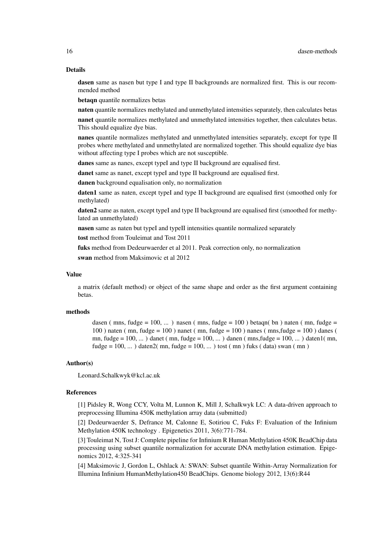#### Details

dasen same as nasen but type I and type II backgrounds are normalized first. This is our recommended method

betaqn quantile normalizes betas

naten quantile normalizes methylated and unmethylated intensities separately, then calculates betas

nanet quantile normalizes methylated and unmethylated intensities together, then calculates betas. This should equalize dye bias.

nanes quantile normalizes methylated and unmethylated intensities separately, except for type II probes where methylated and unmethylated are normalized together. This should equalize dye bias without affecting type I probes which are not susceptible.

danes same as nanes, except typeI and type II background are equalised first.

danet same as nanet, except typeI and type II background are equalised first.

danen background equalisation only, no normalization

daten1 same as naten, except typeI and type II background are equalised first (smoothed only for methylated)

daten2 same as naten, except typeI and type II background are equalised first (smoothed for methylated an unmethylated)

nasen same as naten but typeI and typeII intensities quantile normalized separately

tost method from Touleimat and Tost 2011

fuks method from Dedeurwaerder et al 2011. Peak correction only, no normalization

swan method from Maksimovic et al 2012

#### Value

a matrix (default method) or object of the same shape and order as the first argument containing betas.

#### methods

dasen (mns, fudge = 100, ...) nasen (mns, fudge = 100) betaqn( bn) naten (mn, fudge =  $100$ ) naten ( mn, fudge =  $100$ ) nanet ( mn, fudge =  $100$ ) nanes ( mns, fudge =  $100$ ) danes ( mn, fudge =  $100, \ldots$ ) danet (mn, fudge =  $100, \ldots$ ) danen (mns, fudge =  $100, \ldots$ ) daten 1 (mn, fudge =  $100, \ldots$ ) daten $2(mn, fudge = 100, \ldots)$  tost (mn) fuks (data) swan (mn)

#### Author(s)

Leonard.Schalkwyk@kcl.ac.uk

# References

[1] Pidsley R, Wong CCY, Volta M, Lunnon K, Mill J, Schalkwyk LC: A data-driven approach to preprocessing Illumina 450K methylation array data (submitted)

[2] Dedeurwaerder S, Defrance M, Calonne E, Sotiriou C, Fuks F: Evaluation of the Infinium Methylation 450K technology . Epigenetics 2011, 3(6):771-784.

[3] Touleimat N, Tost J: Complete pipeline for Infinium R Human Methylation 450K BeadChip data processing using subset quantile normalization for accurate DNA methylation estimation. Epigenomics 2012, 4:325-341

[4] Maksimovic J, Gordon L, Oshlack A: SWAN: Subset quantile Within-Array Normalization for Illumina Infinium HumanMethylation450 BeadChips. Genome biology 2012, 13(6):R44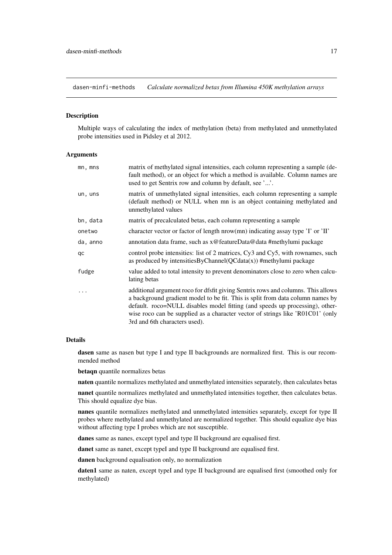<span id="page-16-0"></span>dasen-minfi-methods *Calculate normalized betas from Illumina 450K methylation arrays*

#### Description

Multiple ways of calculating the index of methylation (beta) from methylated and unmethylated probe intensities used in Pidsley et al 2012.

#### Arguments

| mn, mns    | matrix of methylated signal intensities, each column representing a sample (de-<br>fault method), or an object for which a method is available. Column names are<br>used to get Sentrix row and column by default, see ''.                                                                                                                                            |
|------------|-----------------------------------------------------------------------------------------------------------------------------------------------------------------------------------------------------------------------------------------------------------------------------------------------------------------------------------------------------------------------|
| un, uns    | matrix of unmethylated signal intensities, each column representing a sample<br>(default method) or NULL when mn is an object containing methylated and<br>unmethylated values                                                                                                                                                                                        |
| bn, data   | matrix of precalculated betas, each column representing a sample                                                                                                                                                                                                                                                                                                      |
| onetwo     | character vector or factor of length nrow(mn) indicating assay type $\overline{\mathbf{I}}$ or $\overline{\mathbf{I}}$                                                                                                                                                                                                                                                |
| da, anno   | annotation data frame, such as x@featureData@data #methylumi package                                                                                                                                                                                                                                                                                                  |
| qc         | control probe intensities: list of 2 matrices, Cy3 and Cy5, with rownames, such<br>as produced by intensities ByChannel ( $QCdata(x)$ ) #methylumi package                                                                                                                                                                                                            |
| fudge      | value added to total intensity to prevent denominators close to zero when calcu-<br>lating betas                                                                                                                                                                                                                                                                      |
| $\ddots$ . | additional argument roco for dfsfit giving Sentrix rows and columns. This allows<br>a background gradient model to be fit. This is split from data column names by<br>default. roco=NULL disables model fitting (and speeds up processing), other-<br>wise roco can be supplied as a character vector of strings like 'R01C01' (only<br>3rd and 6th characters used). |

#### Details

dasen same as nasen but type I and type II backgrounds are normalized first. This is our recommended method

betaqn quantile normalizes betas

naten quantile normalizes methylated and unmethylated intensities separately, then calculates betas

nanet quantile normalizes methylated and unmethylated intensities together, then calculates betas. This should equalize dye bias.

nanes quantile normalizes methylated and unmethylated intensities separately, except for type II probes where methylated and unmethylated are normalized together. This should equalize dye bias without affecting type I probes which are not susceptible.

danes same as nanes, except typeI and type II background are equalised first.

danet same as nanet, except typeI and type II background are equalised first.

danen background equalisation only, no normalization

daten1 same as naten, except typeI and type II background are equalised first (smoothed only for methylated)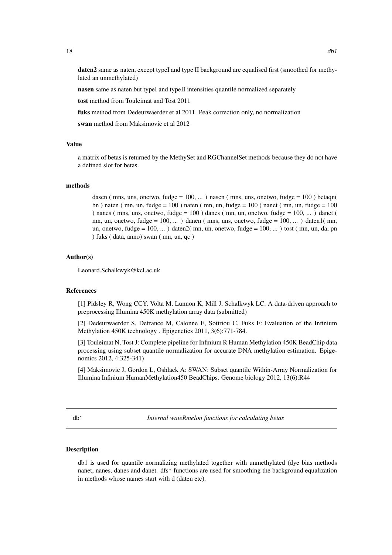<span id="page-17-0"></span>daten2 same as naten, except typeI and type II background are equalised first (smoothed for methylated an unmethylated)

nasen same as naten but typeI and typeII intensities quantile normalized separately

tost method from Touleimat and Tost 2011

fuks method from Dedeurwaerder et al 2011. Peak correction only, no normalization

swan method from Maksimovic et al 2012

#### Value

a matrix of betas is returned by the MethySet and RGChannelSet methods because they do not have a defined slot for betas.

# methods

dasen (mns, uns, onetwo, fudge =  $100, ...$ ) nasen (mns, uns, onetwo, fudge =  $100$ ) betaqn( bn ) naten ( mn, un, fudge = 100 ) naten ( mn, un, fudge = 100 ) nanet ( mn, un, fudge = 100 ) nanes ( mns, uns, onetwo, fudge =  $100$  ) danes ( mn, un, onetwo, fudge =  $100$ , ... ) danet ( mn, un, onetwo, fudge =  $100, ...$ ) danen (mns, uns, onetwo, fudge =  $100, ...$ ) daten $1$ (mn, un, onetwo, fudge =  $100, \ldots$ ) daten $2(mn, un,$  onetwo, fudge =  $100, \ldots$ ) tost (mn, un, da, pn ) fuks ( data, anno) swan ( mn, un, qc )

#### Author(s)

Leonard.Schalkwyk@kcl.ac.uk

#### References

[1] Pidsley R, Wong CCY, Volta M, Lunnon K, Mill J, Schalkwyk LC: A data-driven approach to preprocessing Illumina 450K methylation array data (submitted)

[2] Dedeurwaerder S, Defrance M, Calonne E, Sotiriou C, Fuks F: Evaluation of the Infinium Methylation 450K technology . Epigenetics 2011, 3(6):771-784.

[3] Touleimat N, Tost J: Complete pipeline for Infinium R Human Methylation 450K BeadChip data processing using subset quantile normalization for accurate DNA methylation estimation. Epigenomics 2012, 4:325-341)

[4] Maksimovic J, Gordon L, Oshlack A: SWAN: Subset quantile Within-Array Normalization for Illumina Infinium HumanMethylation450 BeadChips. Genome biology 2012, 13(6):R44

db1 *Internal wateRmelon functions for calculating betas*

#### Description

db1 is used for quantile normalizing methylated together with unmethylated (dye bias methods nanet, nanes, danes and danet. dfs\* functions are used for smoothing the background equalization in methods whose names start with d (daten etc).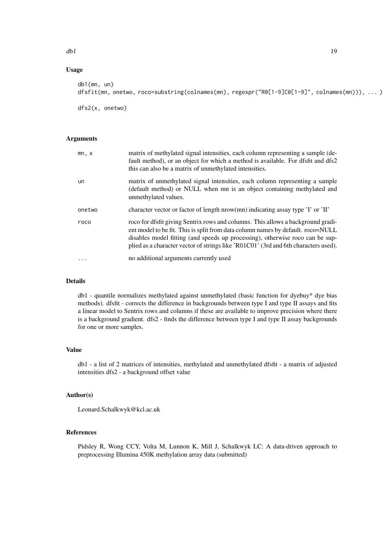#### $dbl$  19

# Usage

| db1(mn, un)                                                                                 |  |
|---------------------------------------------------------------------------------------------|--|
| dfsfit(mn, onetwo, roco=substring(colnames(mn), regexpr("R0[1-9]C0[1-9]", colnames(mn))), ) |  |
|                                                                                             |  |
| dfs2(x, one two)                                                                            |  |

#### Arguments

| mn, x  | matrix of methylated signal intensities, each column representing a sample (de-<br>fault method), or an object for which a method is available. For dfsfit and dfs2<br>this can also be a matrix of unmethylated intensities.                                                                                                               |
|--------|---------------------------------------------------------------------------------------------------------------------------------------------------------------------------------------------------------------------------------------------------------------------------------------------------------------------------------------------|
| un     | matrix of unmethylated signal intensities, each column representing a sample<br>(default method) or NULL when mn is an object containing methylated and<br>unmethylated values.                                                                                                                                                             |
| onetwo | character vector or factor of length nrow(mn) indicating assay type 'I' or 'II'                                                                                                                                                                                                                                                             |
| roco   | roco for dfsfit giving Sentrix rows and columns. This allows a background gradi-<br>ent model to be fit. This is split from data column names by default. roco=NULL<br>disables model fitting (and speeds up processing), otherwise roco can be sup-<br>plied as a character vector of strings like 'R01C01' (3rd and 6th characters used). |
|        | no additional arguments currently used                                                                                                                                                                                                                                                                                                      |

# Details

db1 - quantile normalizes methylated against unmethylated (basic function for dyebuy\* dye bias methods). dfsfit - corrects the difference in backgrounds between type I and type II assays and fits a linear model to Sentrix rows and columns if these are available to improve precision where there is a background gradient. dfs2 - finds the difference between type I and type II assay backgrounds for one or more samples.

# Value

db1 - a list of 2 matrices of intensities, methylated and unmethylated dfsfit - a matrix of adjusted intensities dfs2 - a background offset value

# Author(s)

Leonard.Schalkwyk@kcl.ac.uk

# References

Pidsley R, Wong CCY, Volta M, Lunnon K, Mill J, Schalkwyk LC: A data-driven approach to preprocessing Illumina 450K methylation array data (submitted)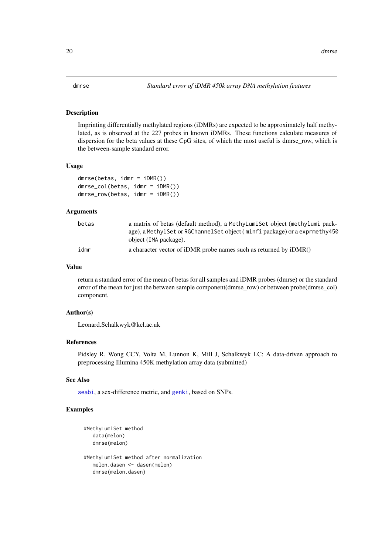<span id="page-19-2"></span><span id="page-19-1"></span><span id="page-19-0"></span>Imprinting differentially methylated regions (iDMRs) are expected to be approximately half methylated, as is observed at the 227 probes in known iDMRs. These functions calculate measures of dispersion for the beta values at these CpG sites, of which the most useful is dmrse\_row, which is the between-sample standard error.

#### Usage

```
dmrse(betas, idmr = iDMR())
dmrse_col(betas, idmr = iDMR())
dmrse_row(betas, idmr = iDMR())
```
#### Arguments

| betas | a matrix of betas (default method), a MethyLumiSet object (methylumi pack-<br>age), a Methyl Set or RGChannel Set object (minfi package) or a exprmethy 450 |
|-------|-------------------------------------------------------------------------------------------------------------------------------------------------------------|
|       | object (IMA package).                                                                                                                                       |
| idmr  | a character vector of iDMR probe names such as returned by iDMR()                                                                                           |

# Value

return a standard error of the mean of betas for all samples and iDMR probes (dmrse) or the standard error of the mean for just the between sample component(dmrse\_row) or between probe(dmrse\_col) component.

#### Author(s)

Leonard.Schalkwyk@kcl.ac.uk

# References

Pidsley R, Wong CCY, Volta M, Lunnon K, Mill J, Schalkwyk LC: A data-driven approach to preprocessing Illumina 450K methylation array data (submitted)

# See Also

[seabi](#page-34-1), a sex-difference metric, and [genki](#page-22-1), based on SNPs.

#### Examples

```
#MethyLumiSet method
   data(melon)
   dmrse(melon)
#MethyLumiSet method after normalization
  melon.dasen <- dasen(melon)
   dmrse(melon.dasen)
```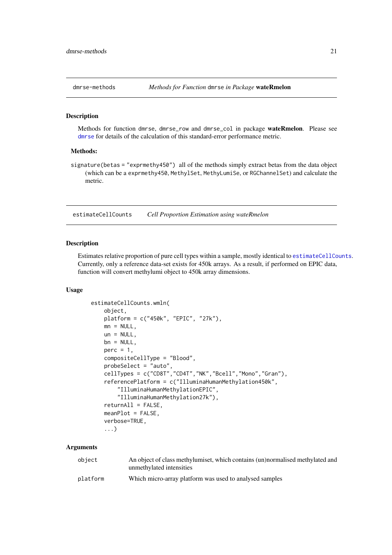<span id="page-20-0"></span>

Methods for function dmrse, dmrse\_row and dmrse\_col in package wateRmelon. Please see [dmrse](#page-19-1) for details of the calculation of this standard-error performance metric.

#### Methods:

signature(betas = "exprmethy450") all of the methods simply extract betas from the data object (which can be a exprmethy450, MethylSet, MethyLumiSe, or RGChannelSet) and calculate the metric.

<span id="page-20-1"></span>estimateCellCounts *Cell Proportion Estimation using wateRmelon*

#### Description

Estimates relative proportion of pure cell types within a sample, mostly identical to [estimateCellCounts](#page-20-1). Currently, only a reference data-set exists for 450k arrays. As a result, if performed on EPIC data, function will convert methylumi object to 450k array dimensions.

#### Usage

```
estimateCellCounts.wmln(
    object,
    platform = c("450k", "EPIC", "27k"),
    mn = NULL,un = NULL,bn = NULL,perc = 1,compositeCellType = "Blood",
    probeSelect = "auto",
    cellTypes = c("CD8T","CD4T","NK","Bcell","Mono","Gran"),
    referencePlatform = c("IlluminaHumanMethylation450k",
        "IlluminaHumanMethylationEPIC",
        "IlluminaHumanMethylation27k"),
    returnAll = FALSE,
    meanPlot = FALSE,
    verbose=TRUE,
    ...)
```
#### Arguments

| object   | An object of class methylumiset, which contains (un)normalised methylated and<br>unmethylated intensities |
|----------|-----------------------------------------------------------------------------------------------------------|
| platform | Which micro-array platform was used to analysed samples                                                   |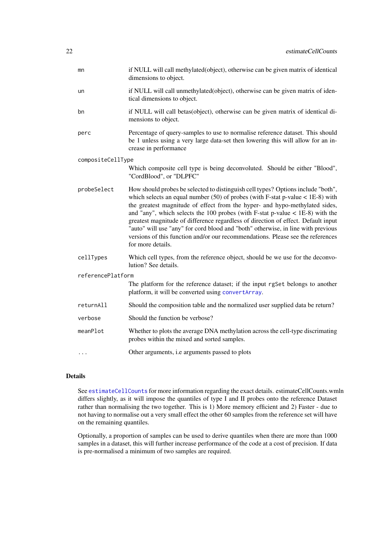<span id="page-21-0"></span>

| mn                | if NULL will call methylated(object), otherwise can be given matrix of identical<br>dimensions to object.                                                                                                                                                                                                                                                                                                                                                                                                                                                                                                               |
|-------------------|-------------------------------------------------------------------------------------------------------------------------------------------------------------------------------------------------------------------------------------------------------------------------------------------------------------------------------------------------------------------------------------------------------------------------------------------------------------------------------------------------------------------------------------------------------------------------------------------------------------------------|
| un                | if NULL will call unmethylated(object), otherwise can be given matrix of iden-<br>tical dimensions to object.                                                                                                                                                                                                                                                                                                                                                                                                                                                                                                           |
| bn                | if NULL will call betas(object), otherwise can be given matrix of identical di-<br>mensions to object.                                                                                                                                                                                                                                                                                                                                                                                                                                                                                                                  |
| perc              | Percentage of query-samples to use to normalise reference dataset. This should<br>be 1 unless using a very large data-set then lowering this will allow for an in-<br>crease in performance                                                                                                                                                                                                                                                                                                                                                                                                                             |
| compositeCellType |                                                                                                                                                                                                                                                                                                                                                                                                                                                                                                                                                                                                                         |
|                   | Which composite cell type is being deconvoluted. Should be either "Blood",<br>"CordBlood", or "DLPFC"                                                                                                                                                                                                                                                                                                                                                                                                                                                                                                                   |
| probeSelect       | How should probes be selected to distinguish cell types? Options include "both",<br>which selects an equal number $(50)$ of probes (with F-stat p-value < 1E-8) with<br>the greatest magnitude of effect from the hyper- and hypo-methylated sides,<br>and "any", which selects the 100 probes (with F-stat p-value $<$ 1E-8) with the<br>greatest magnitude of difference regardless of direction of effect. Default input<br>"auto" will use "any" for cord blood and "both" otherwise, in line with previous<br>versions of this function and/or our recommendations. Please see the references<br>for more details. |
| cellTypes         | Which cell types, from the reference object, should be we use for the deconvo-<br>lution? See details.                                                                                                                                                                                                                                                                                                                                                                                                                                                                                                                  |
| referencePlatform |                                                                                                                                                                                                                                                                                                                                                                                                                                                                                                                                                                                                                         |
|                   | The platform for the reference dataset; if the input rgSet belongs to another<br>platform, it will be converted using convertArray.                                                                                                                                                                                                                                                                                                                                                                                                                                                                                     |
| returnAll         | Should the composition table and the normalized user supplied data be return?                                                                                                                                                                                                                                                                                                                                                                                                                                                                                                                                           |
| verbose           | Should the function be verbose?                                                                                                                                                                                                                                                                                                                                                                                                                                                                                                                                                                                         |
| meanPlot          | Whether to plots the average DNA methylation across the cell-type discrimating<br>probes within the mixed and sorted samples.                                                                                                                                                                                                                                                                                                                                                                                                                                                                                           |
| $\cdots$          | Other arguments, i.e arguments passed to plots                                                                                                                                                                                                                                                                                                                                                                                                                                                                                                                                                                          |

# Details

See [estimateCellCounts](#page-20-1) for more information regarding the exact details. estimateCellCounts.wmln differs slightly, as it will impose the quantiles of type I and II probes onto the reference Dataset rather than normalising the two together. This is 1) More memory efficient and 2) Faster - due to not having to normalise out a very small effect the other 60 samples from the reference set will have on the remaining quantiles.

Optionally, a proportion of samples can be used to derive quantiles when there are more than 1000 samples in a dataset, this will further increase performance of the code at a cost of precision. If data is pre-normalised a minimum of two samples are required.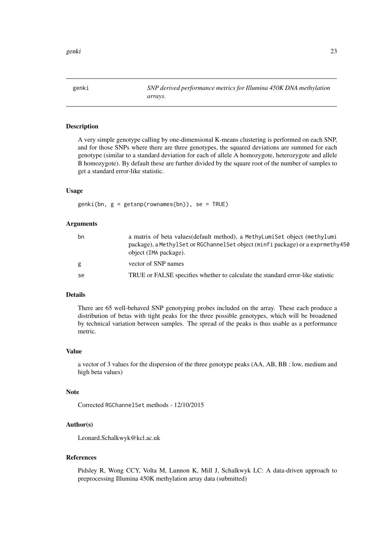<span id="page-22-1"></span><span id="page-22-0"></span>

A very simple genotype calling by one-dimensional K-means clustering is performed on each SNP, and for those SNPs where there are three genotypes, the squared deviations are summed for each genotype (similar to a standard deviation for each of allele A homozygote, heterozygote and allele B homozygote). By default these are further divided by the square root of the number of samples to get a standard error-like statistic.

# Usage

genki(bn, g = getsnp(rownames(bn)), se = TRUE)

#### Arguments

| bn | a matrix of beta values (default method), a MethyLumiSet object (methylumi<br>package), a MethylSet or RGChannelSet object (minfi package) or a exprmethy450<br>object (IMA package). |
|----|---------------------------------------------------------------------------------------------------------------------------------------------------------------------------------------|
| g  | vector of SNP names                                                                                                                                                                   |
| se | TRUE or FALSE specifies whether to calculate the standard error-like statistic                                                                                                        |

# Details

There are 65 well-behaved SNP genotyping probes included on the array. These each produce a distribution of betas with tight peaks for the three possible genotypes, which will be broadened by technical variation between samples. The spread of the peaks is thus usable as a performance metric.

#### Value

a vector of 3 values for the dispersion of the three genotype peaks (AA, AB, BB : low, medium and high beta values)

#### Note

Corrected RGChannelSet methods - 12/10/2015

#### Author(s)

Leonard.Schalkwyk@kcl.ac.uk

# References

Pidsley R, Wong CCY, Volta M, Lunnon K, Mill J, Schalkwyk LC: A data-driven approach to preprocessing Illumina 450K methylation array data (submitted)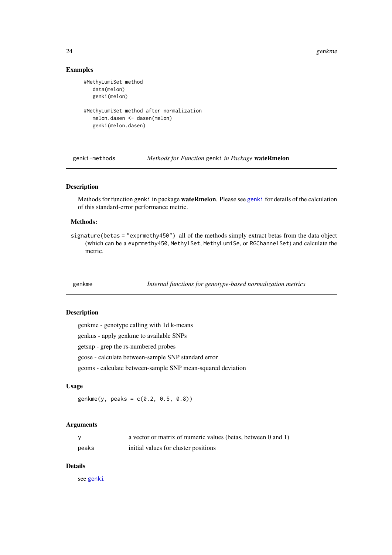24 genkme

# Examples

```
#MethyLumiSet method
  data(melon)
  genki(melon)
#MethyLumiSet method after normalization
  melon.dasen <- dasen(melon)
  genki(melon.dasen)
```
genki-methods *Methods for Function* genki *in Package* wateRmelon

#### Description

Methods for function genki in package wateRmelon. Please see [genki](#page-22-1) for details of the calculation of this standard-error performance metric.

# Methods:

signature(betas = "exprmethy450") all of the methods simply extract betas from the data object (which can be a exprmethy450, MethylSet, MethyLumiSe, or RGChannelSet) and calculate the metric.

genkme *Internal functions for genotype-based normalization metrics*

#### <span id="page-23-1"></span>Description

genkme - genotype calling with 1d k-means genkus - apply genkme to available SNPs getsnp - grep the rs-numbered probes gcose - calculate between-sample SNP standard error gcoms - calculate between-sample SNP mean-squared deviation

# Usage

genkme(y, peaks = c(0.2, 0.5, 0.8))

#### Arguments

|       | a vector or matrix of numeric values (betas, between 0 and 1) |
|-------|---------------------------------------------------------------|
| peaks | initial values for cluster positions                          |

# Details

see [genki](#page-22-1)

<span id="page-23-0"></span>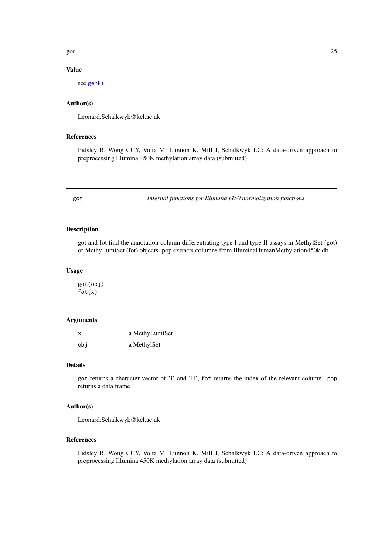<span id="page-24-0"></span>got  $25$ 

# Value

see [genki](#page-22-1)

### Author(s)

Leonard.Schalkwyk@kcl.ac.uk

#### References

Pidsley R, Wong CCY, Volta M, Lunnon K, Mill J, Schalkwyk LC: A data-driven approach to preprocessing Illumina 450K methylation array data (submitted)

got *Internal functions for Illumina i450 normalization functions*

# Description

got and fot find the annotation column differentiating type I and type II assays in MethylSet (got) or MethyLumiSet (fot) objects. pop extracts columns from IlluminaHumanMethylation450k.db

# Usage

got(obj) fot(x)

# Arguments

| X   | a MethyLumiSet |  |
|-----|----------------|--|
| obi | a MethylSet    |  |

# Details

got returns a character vector of 'I' and 'II', fot returns the index of the relevant column. pop returns a data frame

# Author(s)

Leonard.Schalkwyk@kcl.ac.uk

#### References

Pidsley R, Wong CCY, Volta M, Lunnon K, Mill J, Schalkwyk LC: A data-driven approach to preprocessing Illumina 450K methylation array data (submitted)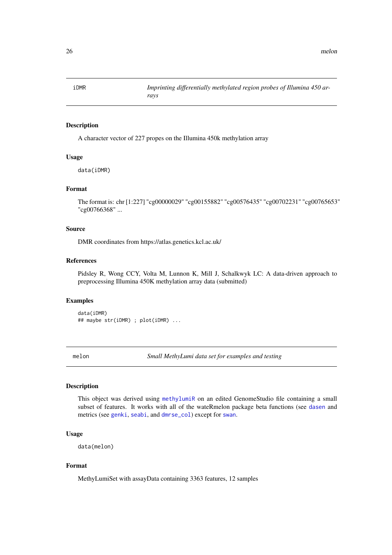<span id="page-25-0"></span>

A character vector of 227 propes on the Illumina 450k methylation array

#### Usage

data(iDMR)

# Format

The format is: chr [1:227] "cg00000029" "cg00155882" "cg00576435" "cg00702231" "cg00765653" "cg00766368" ...

# Source

DMR coordinates from https://atlas.genetics.kcl.ac.uk/

#### References

Pidsley R, Wong CCY, Volta M, Lunnon K, Mill J, Schalkwyk LC: A data-driven approach to preprocessing Illumina 450K methylation array data (submitted)

# Examples

data(iDMR) ## maybe str(iDMR) ; plot(iDMR) ...

melon *Small MethyLumi data set for examples and testing*

# Description

This object was derived using [methylumiR](#page-0-0) on an edited GenomeStudio file containing a small subset of features. It works with all of the wateRmelon package beta functions (see [dasen](#page-12-2) and metrics (see [genki](#page-22-1), [seabi](#page-34-1), and [dmrse\\_col](#page-19-2)) except for [swan](#page-12-1).

# Usage

data(melon)

# Format

MethyLumiSet with assayData containing 3363 features, 12 samples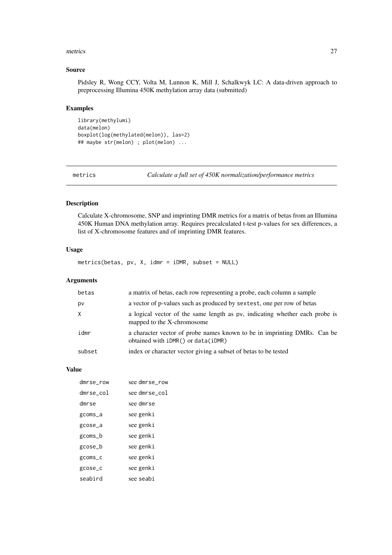#### <span id="page-26-0"></span>metrics 27

# Source

Pidsley R, Wong CCY, Volta M, Lunnon K, Mill J, Schalkwyk LC: A data-driven approach to preprocessing Illumina 450K methylation array data (submitted)

# Examples

```
library(methylumi)
data(melon)
boxplot(log(methylated(melon)), las=2)
## maybe str(melon) ; plot(melon) ...
```
metrics *Calculate a full set of 450K normalization/performance metrics*

# Description

Calculate X-chromosome, SNP and imprinting DMR metrics for a matrix of betas from an Illumina 450K Human DNA methylation array. Requires precalculated t-test p-values for sex differences, a list of X-chromosome features and of imprinting DMR features.

# Usage

metrics(betas, pv, X, idmr = iDMR, subset = NULL)

# Arguments

| betas  | a matrix of betas, each row representing a probe, each column a sample                                             |
|--------|--------------------------------------------------------------------------------------------------------------------|
| pv     | a vector of p-values such as produced by sextest, one per row of betas                                             |
|        | a logical vector of the same length as pv, indicating whether each probe is<br>mapped to the X-chromosome          |
| idmr   | a character vector of probe names known to be in imprinting DMRs. Can be<br>obtained with $iDMR()$ or $data(iDMR)$ |
| subset | index or character vector giving a subset of betas to be tested                                                    |

#### Value

| dmrse_row | see dmrse_row |
|-----------|---------------|
| dmrse_col | see dmrse_col |
| dmrse     | see dmrse     |
| gcoms_a   | see genki     |
| gcose_a   | see genki     |
| gcoms_b   | see genki     |
| gcose_b   | see genki     |
| gcoms_c   | see genki     |
| gcose_c   | see genki     |
| seabird   | see seabi     |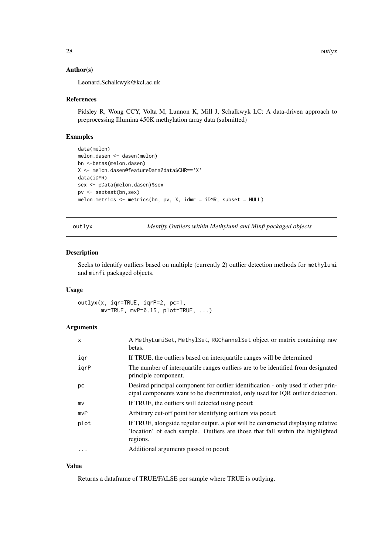# Author(s)

Leonard.Schalkwyk@kcl.ac.uk

#### References

Pidsley R, Wong CCY, Volta M, Lunnon K, Mill J, Schalkwyk LC: A data-driven approach to preprocessing Illumina 450K methylation array data (submitted)

# Examples

```
data(melon)
melon.dasen <- dasen(melon)
bn <-betas(melon.dasen)
X <- melon.dasen@featureData@data$CHR=='X'
data(iDMR)
sex <- pData(melon.dasen)$sex
pv <- sextest(bn,sex)
melon.metrics <- metrics(bn, pv, X, idmr = iDMR, subset = NULL)
```
outlyx *Identify Outliers within Methylumi and Minfi packaged objects*

#### Description

Seeks to identify outliers based on multiple (currently 2) outlier detection methods for methylumi and minfi packaged objects.

#### Usage

outlyx(x, iqr=TRUE, iqrP=2, pc=1, mv=TRUE, mvP=0.15, plot=TRUE, ...)

# Arguments

| X         | A MethyLumiSet, MethylSet, RGChannelSet object or matrix containing raw<br>betas.                                                                                               |
|-----------|---------------------------------------------------------------------------------------------------------------------------------------------------------------------------------|
| igr       | If TRUE, the outliers based on interquartile ranges will be determined                                                                                                          |
| igrP      | The number of interquartile ranges outliers are to be identified from designated<br>principle component.                                                                        |
| pс        | Desired principal component for outlier identification - only used if other prin-<br>cipal components want to be discriminated, only used for IQR outlier detection.            |
| mv        | If TRUE, the outliers will detected using poout                                                                                                                                 |
| mvP       | Arbitrary cut-off point for identifying outliers via pcout                                                                                                                      |
| plot      | If TRUE, alongside regular output, a plot will be constructed displaying relative<br>'location' of each sample. Outliers are those that fall within the highlighted<br>regions. |
| $\ddotsc$ | Additional arguments passed to pcout                                                                                                                                            |
|           |                                                                                                                                                                                 |

# Value

Returns a dataframe of TRUE/FALSE per sample where TRUE is outlying.

<span id="page-27-0"></span>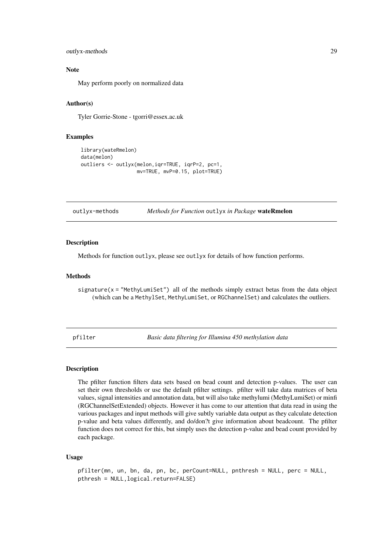```
outlyx-methods 29
```
#### Note

May perform poorly on normalized data

#### Author(s)

Tyler Gorrie-Stone - tgorri@essex.ac.uk

#### Examples

```
library(wateRmelon)
data(melon)
outliers <- outlyx(melon,iqr=TRUE, iqrP=2, pc=1,
                   mv=TRUE, mvP=0.15, plot=TRUE)
```
outlyx-methods *Methods for Function* outlyx *in Package* wateRmelon

# Description

Methods for function outlyx, please see outlyx for details of how function performs.

#### Methods

signature( $x =$  "MethyLumiSet") all of the methods simply extract betas from the data object (which can be a MethylSet, MethyLumiSet, or RGChannelSet) and calculates the outliers.

<span id="page-28-1"></span>pfilter *Basic data filtering for Illumina 450 methylation data*

#### Description

The pfilter function filters data sets based on bead count and detection p-values. The user can set their own thresholds or use the default pfilter settings. pfilter will take data matrices of beta values, signal intensities and annotation data, but will also take methylumi (MethyLumiSet) or minfi (RGChannelSetExtended) objects. However it has come to our attention that data read in using the various packages and input methods will give subtly variable data output as they calculate detection p-value and beta values differently, and do/don?t give information about beadcount. The pfilter function does not correct for this, but simply uses the detection p-value and bead count provided by each package.

# Usage

pfilter(mn, un, bn, da, pn, bc, perCount=NULL, pnthresh = NULL, perc = NULL, pthresh = NULL,logical.return=FALSE)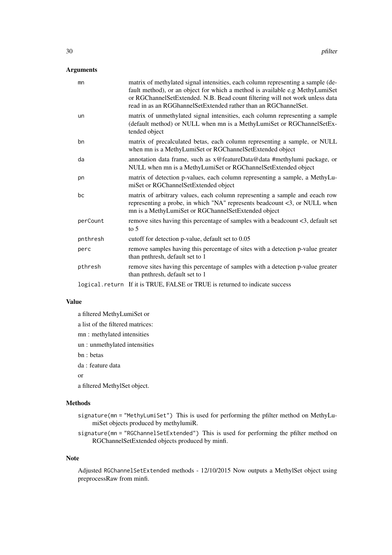# Arguments

| mn       | matrix of methylated signal intensities, each column representing a sample (de-<br>fault method), or an object for which a method is available e.g MethyLumiSet<br>or RGChannelSetExtended. N.B. Bead count filtering will not work unless data<br>read in as an RGGhannelSetExtended rather than an RGChannelSet. |
|----------|--------------------------------------------------------------------------------------------------------------------------------------------------------------------------------------------------------------------------------------------------------------------------------------------------------------------|
| un       | matrix of unmethylated signal intensities, each column representing a sample<br>(default method) or NULL when mn is a MethyLumiSet or RGChannelSetEx-<br>tended object                                                                                                                                             |
| bn       | matrix of precalculated betas, each column representing a sample, or NULL<br>when mn is a MethyLumiSet or RGChannelSetExtended object                                                                                                                                                                              |
| da       | annotation data frame, such as x@featureData@data #methylumi package, or<br>NULL when mn is a MethyLumiSet or RGChannelSetExtended object                                                                                                                                                                          |
| pn       | matrix of detection p-values, each column representing a sample, a MethyLu-<br>miSet or RGChannelSetExtended object                                                                                                                                                                                                |
| bc       | matrix of arbitrary values, each column representing a sample and eeach row<br>representing a probe, in which "NA" represents beadcount <3, or NULL when<br>mn is a MethyLumiSet or RGChannelSetExtended object                                                                                                    |
| perCount | remove sites having this percentage of samples with a beadcount <3, default set<br>to $5$                                                                                                                                                                                                                          |
| pnthresh | cutoff for detection p-value, default set to 0.05                                                                                                                                                                                                                                                                  |
| perc     | remove samples having this percentage of sites with a detection p-value greater<br>than pnthresh, default set to 1                                                                                                                                                                                                 |
| pthresh  | remove sites having this percentage of samples with a detection p-value greater<br>than pnthresh, default set to 1                                                                                                                                                                                                 |
|          | logical. return If it is TRUE, FALSE or TRUE is returned to indicate success                                                                                                                                                                                                                                       |

# Value

a filtered MethyLumiSet or a list of the filtered matrices: mn : methylated intensities un : unmethylated intensities bn : betas da : feature data or a filtered MethylSet object.

# Methods

- signature(mn = "MethyLumiSet") This is used for performing the pfilter method on MethyLumiSet objects produced by methylumiR.
- signature(mn = "RGChannelSetExtended") This is used for performing the pfilter method on RGChannelSetExtended objects produced by minfi.

# Note

Adjusted RGChannelSetExtended methods - 12/10/2015 Now outputs a MethylSet object using preprocessRaw from minfi.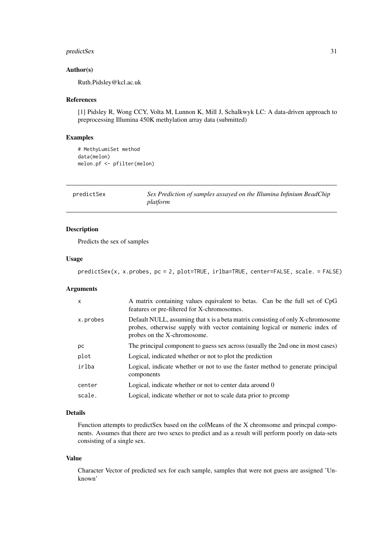#### <span id="page-30-0"></span>predictSex 31

# Author(s)

Ruth.Pidsley@kcl.ac.uk

# References

[1] Pidsley R, Wong CCY, Volta M, Lunnon K, Mill J, Schalkwyk LC: A data-driven approach to preprocessing Illumina 450K methylation array data (submitted)

# Examples

```
# MethyLumiSet method
data(melon)
melon.pf <- pfilter(melon)
```
predictSex *Sex Prediction of samples assayed on the Illumina Infinium BeadChip platform*

# Description

Predicts the sex of samples

# Usage

predictSex(x, x.probes, pc = 2, plot=TRUE, irlba=TRUE, center=FALSE, scale. = FALSE)

# Arguments

| $\mathsf{x}$ | A matrix containing values equivalent to betas. Can be the full set of CpG<br>features or pre-filtered for X-chromosomes.                                                                    |
|--------------|----------------------------------------------------------------------------------------------------------------------------------------------------------------------------------------------|
| x.probes     | Default NULL, assuming that x is a beta matrix consisting of only X-chromosome<br>probes, otherwise supply with vector containing logical or numeric index of<br>probes on the X-chromosome. |
| рc           | The principal component to guess sex across (usually the 2nd one in most cases)                                                                                                              |
| plot         | Logical, indicated whether or not to plot the prediction                                                                                                                                     |
| irlba        | Logical, indicate whether or not to use the faster method to generate principal<br>components                                                                                                |
| center       | Logical, indicate whether or not to center data around 0                                                                                                                                     |
| scale.       | Logical, indicate whether or not to scale data prior to promp                                                                                                                                |
|              |                                                                                                                                                                                              |

# Details

Function attempts to predictSex based on the colMeans of the X chromsome and princpal components. Assumes that there are two sexes to predict and as a result will perform poorly on data-sets consisting of a single sex.

# Value

Character Vector of predicted sex for each sample, samples that were not guess are assigned 'Unknown'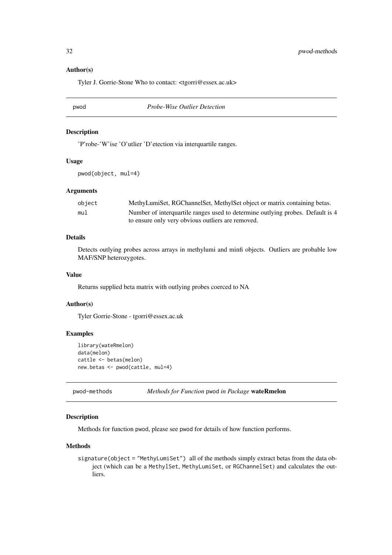#### Author(s)

Tyler J. Gorrie-Stone Who to contact: <tgorri@essex.ac.uk>

pwod *Probe-Wise Outlier Detection*

#### Description

'P'robe-'W'ise 'O'utlier 'D'etection via interquartile ranges.

# Usage

pwod(object, mul=4)

# Arguments

| obiect | MethyLumiSet, RGChannelSet, MethylSet object or matrix containing betas.       |
|--------|--------------------------------------------------------------------------------|
| mu1    | Number of interquartile ranges used to determine outlying probes. Default is 4 |
|        | to ensure only very obvious outliers are removed.                              |

# Details

Detects outlying probes across arrays in methylumi and minfi objects. Outliers are probable low MAF/SNP heterozygotes.

# Value

Returns supplied beta matrix with outlying probes coerced to NA

# Author(s)

Tyler Gorrie-Stone - tgorri@essex.ac.uk

# Examples

```
library(wateRmelon)
data(melon)
cattle <- betas(melon)
new.betas <- pwod(cattle, mul=4)
```
pwod-methods *Methods for Function* pwod *in Package* wateRmelon

# Description

Methods for function pwod, please see pwod for details of how function performs.

# Methods

signature(object = "MethyLumiSet") all of the methods simply extract betas from the data object (which can be a MethylSet, MethyLumiSet, or RGChannelSet) and calculates the outliers.

<span id="page-31-0"></span>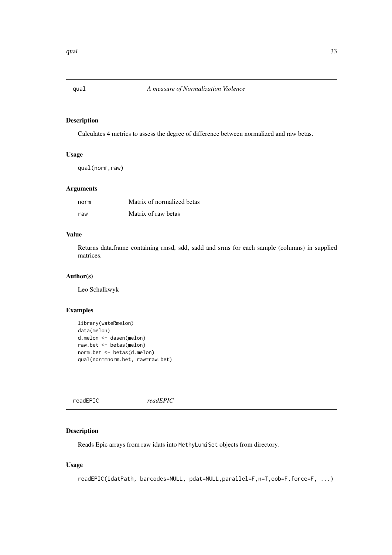<span id="page-32-0"></span>

Calculates 4 metrics to assess the degree of difference between normalized and raw betas.

# Usage

qual(norm,raw)

# Arguments

| norm | Matrix of normalized betas |
|------|----------------------------|
| raw  | Matrix of raw betas        |

# Value

Returns data.frame containing rmsd, sdd, sadd and srms for each sample (columns) in supplied matrices.

# Author(s)

Leo Schalkwyk

# Examples

```
library(wateRmelon)
data(melon)
d.melon <- dasen(melon)
raw.bet <- betas(melon)
norm.bet <- betas(d.melon)
qual(norm=norm.bet, raw=raw.bet)
```
readEPIC *readEPIC*

# Description

Reads Epic arrays from raw idats into MethyLumiSet objects from directory.

# Usage

```
readEPIC(idatPath, barcodes=NULL, pdat=NULL,parallel=F,n=T,oob=F,force=F, ...)
```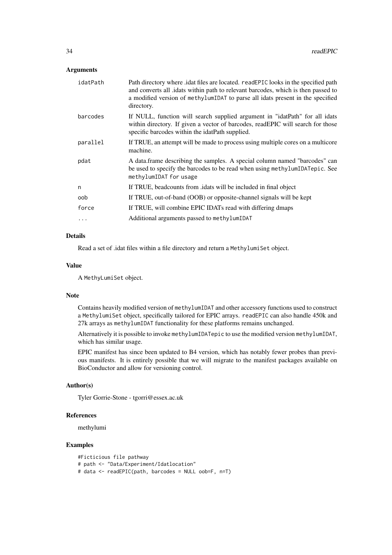# Arguments

| idatPath | Path directory where idat files are located. readEPIC looks in the specified path<br>and converts all .idats within path to relevant barcodes, which is then passed to<br>a modified version of methylumIDAT to parse all idats present in the specified<br>directory. |
|----------|------------------------------------------------------------------------------------------------------------------------------------------------------------------------------------------------------------------------------------------------------------------------|
| barcodes | If NULL, function will search supplied argument in "idatPath" for all idats<br>within directory. If given a vector of barcodes, readEPIC will search for those<br>specific barcodes within the idatPath supplied.                                                      |
| parallel | If TRUE, an attempt will be made to process using multiple cores on a multicore<br>machine.                                                                                                                                                                            |
| pdat     | A data.frame describing the samples. A special column named "barcodes" can<br>be used to specify the barcodes to be read when using methylumIDATepic. See<br>methylumIDAT for usage                                                                                    |
| n        | If TRUE, beadcounts from <i>dats</i> will be included in final object                                                                                                                                                                                                  |
| oob      | If TRUE, out-of-band (OOB) or opposite-channel signals will be kept                                                                                                                                                                                                    |
| force    | If TRUE, will combine EPIC IDATs read with differing dmaps                                                                                                                                                                                                             |
| $\cdots$ | Additional arguments passed to methylumIDAT                                                                                                                                                                                                                            |

# Details

Read a set of .idat files within a file directory and return a MethylumiSet object.

# Value

A MethyLumiSet object.

#### Note

Contains heavily modified version of methylumIDAT and other accessory functions used to construct a MethylumiSet object, specifically tailored for EPIC arrays. readEPIC can also handle 450k and 27k arrays as methylumIDAT functionality for these platforms remains unchanged.

Alternatively it is possible to invoke methylumIDATepic to use the modified version methylumIDAT, which has similar usage.

EPIC manifest has since been updated to B4 version, which has notably fewer probes than previous manifests. It is entirely possible that we will migrate to the manifest packages available on BioConductor and allow for versioning control.

# Author(s)

Tyler Gorrie-Stone - tgorri@essex.ac.uk

# References

methylumi

# Examples

#Ficticious file pathway # path <- "Data/Experiment/Idatlocation" # data <- readEPIC(path, barcodes = NULL oob=F, n=T)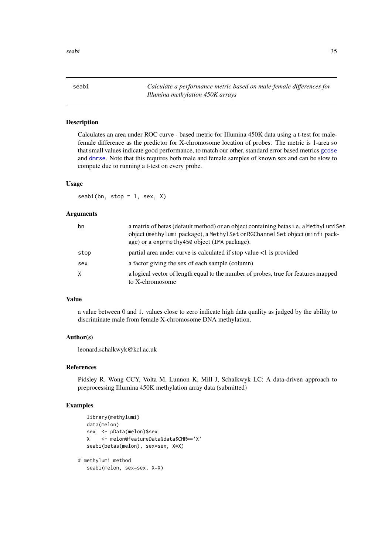<span id="page-34-1"></span><span id="page-34-0"></span>seabi *Calculate a performance metric based on male-female differences for Illumina methylation 450K arrays*

# Description

Calculates an area under ROC curve - based metric for Illumina 450K data using a t-test for malefemale difference as the predictor for X-chromosome location of probes. The metric is 1-area so that small values indicate good performance, to match our other, standard error based metrics [gcose](#page-23-1) and [dmrse](#page-19-1). Note that this requires both male and female samples of known sex and can be slow to compute due to running a t-test on every probe.

# Usage

 $seabi(bn, stop = 1, sex, X)$ 

#### Arguments

| bn   | a matrix of betas (default method) or an object containing betas i.e. a MethyLumiSet<br>object (methylumi package), a MethylSet or RGChannelSet object (minfi pack-<br>age) or a exprmethy450 object (IMA package). |
|------|---------------------------------------------------------------------------------------------------------------------------------------------------------------------------------------------------------------------|
| stop | partial area under curve is calculated if stop value $\lt 1$ is provided                                                                                                                                            |
| sex  | a factor giving the sex of each sample (column)                                                                                                                                                                     |
|      | a logical vector of length equal to the number of probes, true for features mapped<br>to X-chromosome                                                                                                               |

# Value

a value between 0 and 1. values close to zero indicate high data quality as judged by the ability to discriminate male from female X-chromosome DNA methylation.

# Author(s)

leonard.schalkwyk@kcl.ac.uk

#### References

Pidsley R, Wong CCY, Volta M, Lunnon K, Mill J, Schalkwyk LC: A data-driven approach to preprocessing Illumina 450K methylation array data (submitted)

## Examples

```
library(methylumi)
   data(melon)
   sex <- pData(melon)$sex
   X <- melon@featureData@data$CHR=='X'
   seabi(betas(melon), sex=sex, X=X)
# methylumi method
   seabi(melon, sex=sex, X=X)
```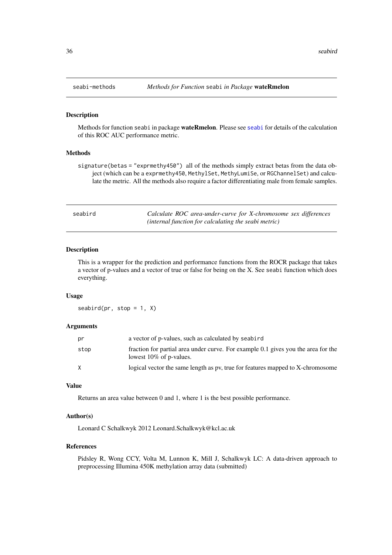<span id="page-35-0"></span>

Methods for function seabi in package wateRmelon. Please see [seabi](#page-34-1) for details of the calculation of this ROC AUC performance metric.

#### Methods

signature(betas = "exprmethy450") all of the methods simply extract betas from the data object (which can be a exprmethy450, MethylSet, MethyLumiSe, or RGChannelSet) and calculate the metric. All the methods also require a factor differentiating male from female samples.

<span id="page-35-1"></span>

| seabird | Calculate ROC area-under-curve for X-chromosome sex differences |
|---------|-----------------------------------------------------------------|
|         | (internal function for calculating the seabi metric)            |

#### Description

This is a wrapper for the prediction and performance functions from the ROCR package that takes a vector of p-values and a vector of true or false for being on the X. See seabi function which does everything.

#### Usage

seabird(pr, stop =  $1, X$ )

#### Arguments

| pr   | a vector of p-values, such as calculated by seabird                                                             |
|------|-----------------------------------------------------------------------------------------------------------------|
| stop | fraction for partial area under curve. For example 0.1 gives you the area for the<br>lowest $10\%$ of p-values. |
| X    | logical vector the same length as pv, true for features mapped to X-chromosome                                  |

# Value

Returns an area value between 0 and 1, where 1 is the best possible performance.

#### Author(s)

Leonard C Schalkwyk 2012 Leonard.Schalkwyk@kcl.ac.uk

# References

Pidsley R, Wong CCY, Volta M, Lunnon K, Mill J, Schalkwyk LC: A data-driven approach to preprocessing Illumina 450K methylation array data (submitted)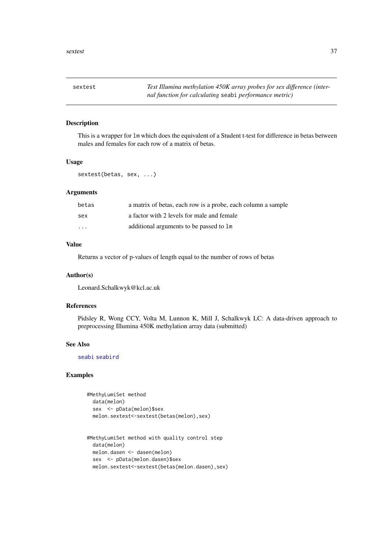<span id="page-36-0"></span>

This is a wrapper for lm which does the equivalent of a Student t-test for difference in betas between males and females for each row of a matrix of betas.

# Usage

sextest(betas, sex, ...)

# Arguments

| betas | a matrix of betas, each row is a probe, each column a sample |
|-------|--------------------------------------------------------------|
| sex   | a factor with 2 levels for male and female                   |
| .     | additional arguments to be passed to 1m                      |

# Value

Returns a vector of p-values of length equal to the number of rows of betas

#### Author(s)

Leonard.Schalkwyk@kcl.ac.uk

# References

Pidsley R, Wong CCY, Volta M, Lunnon K, Mill J, Schalkwyk LC: A data-driven approach to preprocessing Illumina 450K methylation array data (submitted)

# See Also

[seabi](#page-34-1) [seabird](#page-35-1)

# Examples

```
#MethyLumiSet method
 data(melon)
 sex <- pData(melon)$sex
 melon.sextest<-sextest(betas(melon),sex)
```

```
#MethyLumiSet method with quality control step
 data(melon)
 melon.dasen <- dasen(melon)
 sex <- pData(melon.dasen)$sex
 melon.sextest<-sextest(betas(melon.dasen),sex)
```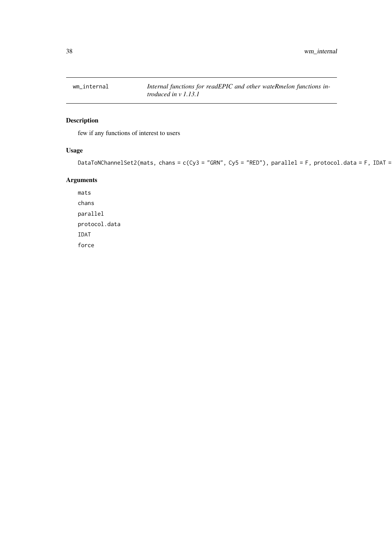<span id="page-37-0"></span>

few if any functions of interest to users

# Usage

```
DataToNChannelSet2(mats, chans = c(Cy3 = "GRN", Cy5 = "RED"), parallel = F, protocol.data = F, IDAT =
```
# Arguments

mats chans parallel protocol.data IDAT force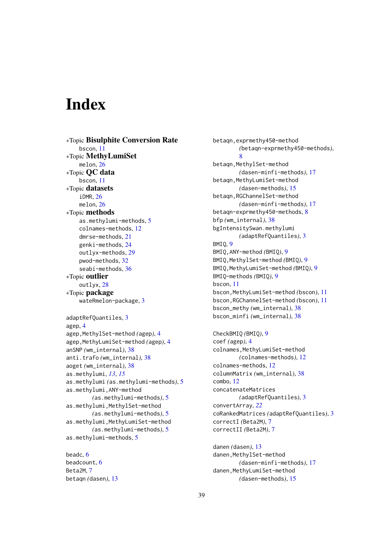# <span id="page-38-0"></span>Index

∗Topic Bisulphite Conversion Rate bscon, [11](#page-10-0) ∗Topic MethyLumiSet melon, [26](#page-25-0) ∗Topic QC data bscon, [11](#page-10-0) ∗Topic datasets iDMR, [26](#page-25-0) melon, [26](#page-25-0) ∗Topic methods as.methylumi-methods, [5](#page-4-0) colnames-methods, [12](#page-11-0) dmrse-methods, [21](#page-20-0) genki-methods, [24](#page-23-0) outlyx-methods, [29](#page-28-0) pwod-methods, [32](#page-31-0) seabi-methods, [36](#page-35-0) ∗Topic outlier outlyx, [28](#page-27-0) ∗Topic package wateRmelon-package, [3](#page-2-0) adaptRefQuantiles, [3](#page-2-0) agep, [4](#page-3-0) agep,MethylSet-method *(*agep*)*, [4](#page-3-0) agep,MethyLumiSet-method *(*agep*)*, [4](#page-3-0) anSNP *(*wm\_internal*)*, [38](#page-37-0) anti.trafo *(*wm\_internal*)*, [38](#page-37-0) aoget *(*wm\_internal*)*, [38](#page-37-0) as.methylumi, *[13](#page-12-0)*, *[15](#page-14-0)* as.methylumi *(*as.methylumi-methods*)*, [5](#page-4-0) as.methylumi,ANY-method *(*as.methylumi-methods*)*, [5](#page-4-0) as.methylumi,MethylSet-method *(*as.methylumi-methods*)*, [5](#page-4-0) as.methylumi,MethyLumiSet-method *(*as.methylumi-methods*)*, [5](#page-4-0) as.methylumi-methods, [5](#page-4-0)

beadc, [6](#page-5-0) beadcount, [6](#page-5-0) Beta2M, [7](#page-6-0) betaqn *(*dasen*)*, [13](#page-12-0) betaqn,exprmethy450-method *(*betaqn-exprmethy450-methods*)*, [8](#page-7-0) betaqn,MethylSet-method *(*dasen-minfi-methods*)*, [17](#page-16-0) betaqn,MethyLumiSet-method *(*dasen-methods*)*, [15](#page-14-0) betaqn,RGChannelSet-method *(*dasen-minfi-methods*)*, [17](#page-16-0) betaqn-exprmethy450-methods, [8](#page-7-0) bfp *(*wm\_internal*)*, [38](#page-37-0) bgIntensitySwan.methylumi *(*adaptRefQuantiles*)*, [3](#page-2-0) BMIQ, [9](#page-8-0) BMIQ,ANY-method *(*BMIQ*)*, [9](#page-8-0) BMIQ,MethylSet-method *(*BMIQ*)*, [9](#page-8-0) BMIQ,MethyLumiSet-method *(*BMIQ*)*, [9](#page-8-0) BMIQ-methods *(*BMIQ*)*, [9](#page-8-0) bscon, [11](#page-10-0) bscon,MethyLumiSet-method *(*bscon*)*, [11](#page-10-0) bscon,RGChannelSet-method *(*bscon*)*, [11](#page-10-0) bscon\_methy *(*wm\_internal*)*, [38](#page-37-0) bscon\_minfi *(*wm\_internal*)*, [38](#page-37-0) CheckBMIQ *(*BMIQ*)*, [9](#page-8-0) coef *(*agep*)*, [4](#page-3-0) colnames, MethyLumiSet-method *(*colnames-methods*)*, [12](#page-11-0) colnames-methods, [12](#page-11-0) columnMatrix *(*wm\_internal*)*, [38](#page-37-0) combo, [12](#page-11-0) concatenateMatrices *(*adaptRefQuantiles*)*, [3](#page-2-0) convertArray, *[22](#page-21-0)* coRankedMatrices *(*adaptRefQuantiles*)*, [3](#page-2-0) correctI *(*Beta2M*)*, [7](#page-6-0) correctII *(*Beta2M*)*, [7](#page-6-0) danen *(*dasen*)*, [13](#page-12-0)

danen, MethylSet-method *(*dasen-minfi-methods*)*, [17](#page-16-0) danen, MethyLumiSet-method *(*dasen-methods*)*, [15](#page-14-0)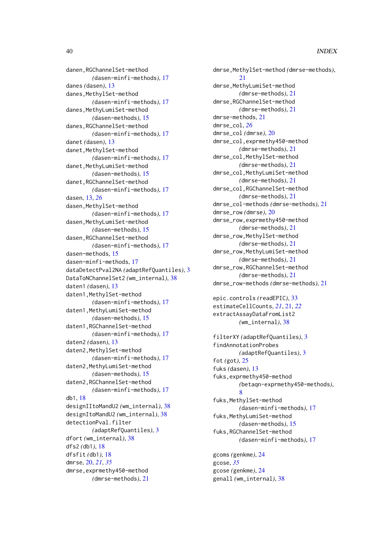danen,RGChannelSet-method *(*dasen-minfi-methods*)*, [17](#page-16-0) danes *(*dasen*)*, [13](#page-12-0) danes, MethylSet-method *(*dasen-minfi-methods*)*, [17](#page-16-0) danes, MethyLumiSet-method *(*dasen-methods*)*, [15](#page-14-0) danes,RGChannelSet-method *(*dasen-minfi-methods*)*, [17](#page-16-0) danet *(*dasen*)*, [13](#page-12-0) danet, MethylSet-method *(*dasen-minfi-methods*)*, [17](#page-16-0) danet,MethyLumiSet-method *(*dasen-methods*)*, [15](#page-14-0) danet,RGChannelSet-method *(*dasen-minfi-methods*)*, [17](#page-16-0) dasen, [13,](#page-12-0) *[26](#page-25-0)* dasen, MethylSet-method *(*dasen-minfi-methods*)*, [17](#page-16-0) dasen,MethyLumiSet-method *(*dasen-methods*)*, [15](#page-14-0) dasen,RGChannelSet-method *(*dasen-minfi-methods*)*, [17](#page-16-0) dasen-methods, [15](#page-14-0) dasen-minfi-methods, [17](#page-16-0) dataDetectPval2NA *(*adaptRefQuantiles*)*, [3](#page-2-0) DataToNChannelSet2 *(*wm\_internal*)*, [38](#page-37-0) daten1 *(*dasen*)*, [13](#page-12-0) daten1, MethylSet-method *(*dasen-minfi-methods*)*, [17](#page-16-0) daten1,MethyLumiSet-method *(*dasen-methods*)*, [15](#page-14-0) daten1,RGChannelSet-method *(*dasen-minfi-methods*)*, [17](#page-16-0) daten2 *(*dasen*)*, [13](#page-12-0) daten2,MethylSet-method *(*dasen-minfi-methods*)*, [17](#page-16-0) daten2,MethyLumiSet-method *(*dasen-methods*)*, [15](#page-14-0) daten2,RGChannelSet-method *(*dasen-minfi-methods*)*, [17](#page-16-0) db1, [18](#page-17-0) designIItoMandU2 *(*wm\_internal*)*, [38](#page-37-0) designItoMandU2 *(*wm\_internal*)*, [38](#page-37-0) detectionPval.filter *(*adaptRefQuantiles*)*, [3](#page-2-0) dfort *(*wm\_internal*)*, [38](#page-37-0) dfs2 *(*db1*)*, [18](#page-17-0) dfsfit *(*db1*)*, [18](#page-17-0) dmrse, [20,](#page-19-0) *[21](#page-20-0)*, *[35](#page-34-0)* dmrse,exprmethy450-method *(*dmrse-methods*)*, [21](#page-20-0)

dmrse,MethylSet-method *(*dmrse-methods*)*, [21](#page-20-0) dmrse,MethyLumiSet-method *(*dmrse-methods*)*, [21](#page-20-0) dmrse,RGChannelSet-method *(*dmrse-methods*)*, [21](#page-20-0) dmrse-methods, [21](#page-20-0) dmrse\_col, *[26](#page-25-0)* dmrse\_col *(*dmrse*)*, [20](#page-19-0) dmrse\_col,exprmethy450-method *(*dmrse-methods*)*, [21](#page-20-0) dmrse\_col,MethylSet-method *(*dmrse-methods*)*, [21](#page-20-0) dmrse\_col,MethyLumiSet-method *(*dmrse-methods*)*, [21](#page-20-0) dmrse\_col,RGChannelSet-method *(*dmrse-methods*)*, [21](#page-20-0) dmrse\_col-methods *(*dmrse-methods*)*, [21](#page-20-0) dmrse\_row *(*dmrse*)*, [20](#page-19-0) dmrse\_row,exprmethy450-method *(*dmrse-methods*)*, [21](#page-20-0) dmrse\_row,MethylSet-method *(*dmrse-methods*)*, [21](#page-20-0) dmrse\_row,MethyLumiSet-method *(*dmrse-methods*)*, [21](#page-20-0) dmrse\_row,RGChannelSet-method *(*dmrse-methods*)*, [21](#page-20-0) dmrse\_row-methods *(*dmrse-methods*)*, [21](#page-20-0) epic.controls *(*readEPIC*)*, [33](#page-32-0) estimateCellCounts, *[21](#page-20-0)*, [21,](#page-20-0) *[22](#page-21-0)* extractAssayDataFromList2

filterXY *(*adaptRefQuantiles*)*, [3](#page-2-0) findAnnotationProbes *(*adaptRefQuantiles*)*, [3](#page-2-0) fot *(*got*)*, [25](#page-24-0) fuks *(*dasen*)*, [13](#page-12-0) fuks,exprmethy450-method *(*betaqn-exprmethy450-methods*)*, [8](#page-7-0) fuks, MethylSet-method *(*dasen-minfi-methods*)*, [17](#page-16-0) fuks, MethyLumiSet-method *(*dasen-methods*)*, [15](#page-14-0) fuks,RGChannelSet-method *(*dasen-minfi-methods*)*, [17](#page-16-0)

*(*wm\_internal*)*, [38](#page-37-0)

gcoms *(*genkme*)*, [24](#page-23-0) gcose, *[35](#page-34-0)* gcose *(*genkme*)*, [24](#page-23-0) genall *(*wm\_internal*)*, [38](#page-37-0)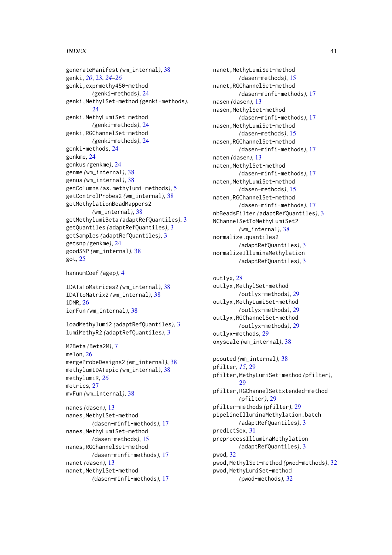# $I<sub>N</sub>$  and  $I<sub>1</sub>$  and  $I<sub>2</sub>$  and  $I<sub>3</sub>$  and  $I<sub>4</sub>$  and  $I<sub>4</sub>$  and  $I<sub>4</sub>$  and  $I<sub>4</sub>$  and  $I<sub>4</sub>$  and  $I<sub>4</sub>$  and  $I<sub>4</sub>$  and  $I<sub>4</sub>$  and  $I<sub>4</sub>$  and  $I<sub>4</sub>$  and  $I<sub>4</sub>$  a

generateManifest *(*wm\_internal*)*, [38](#page-37-0) genki, *[20](#page-19-0)*, [23,](#page-22-0) *[24](#page-23-0)[–26](#page-25-0)* genki,exprmethy450-method *(*genki-methods*)*, [24](#page-23-0) genki,MethylSet-method *(*genki-methods*)*, [24](#page-23-0) genki,MethyLumiSet-method *(*genki-methods*)*, [24](#page-23-0) genki,RGChannelSet-method *(*genki-methods*)*, [24](#page-23-0) genki-methods, [24](#page-23-0) genkme, [24](#page-23-0) genkus *(*genkme*)*, [24](#page-23-0) genme *(*wm\_internal*)*, [38](#page-37-0) genus *(*wm\_internal*)*, [38](#page-37-0) getColumns *(*as.methylumi-methods*)*, [5](#page-4-0) getControlProbes2 *(*wm\_internal*)*, [38](#page-37-0) getMethylationBeadMappers2 *(*wm\_internal*)*, [38](#page-37-0) getMethylumiBeta *(*adaptRefQuantiles*)*, [3](#page-2-0) getQuantiles *(*adaptRefQuantiles*)*, [3](#page-2-0) getSamples *(*adaptRefQuantiles*)*, [3](#page-2-0) getsnp *(*genkme*)*, [24](#page-23-0) goodSNP *(*wm\_internal*)*, [38](#page-37-0) got, [25](#page-24-0)

```
hannumCoef (agep), 4
```
IDATsToMatrices2 *(*wm\_internal*)*, [38](#page-37-0) IDATtoMatrix2 *(*wm\_internal*)*, [38](#page-37-0) iDMR, [26](#page-25-0) iqrFun *(*wm\_internal*)*, [38](#page-37-0)

loadMethylumi2 *(*adaptRefQuantiles*)*, [3](#page-2-0) lumiMethyR2 *(*adaptRefQuantiles*)*, [3](#page-2-0)

M2Beta *(*Beta2M*)*, [7](#page-6-0) melon, [26](#page-25-0) mergeProbeDesigns2 *(*wm\_internal*)*, [38](#page-37-0) methylumIDATepic *(*wm\_internal*)*, [38](#page-37-0) methylumiR, *[26](#page-25-0)* metrics, [27](#page-26-0) mvFun *(*wm\_internal*)*, [38](#page-37-0)

nanes *(*dasen*)*, [13](#page-12-0) nanes,MethylSet-method *(*dasen-minfi-methods*)*, [17](#page-16-0) nanes,MethyLumiSet-method *(*dasen-methods*)*, [15](#page-14-0) nanes,RGChannelSet-method *(*dasen-minfi-methods*)*, [17](#page-16-0) nanet *(*dasen*)*, [13](#page-12-0) nanet, MethylSet-method *(*dasen-minfi-methods*)*, [17](#page-16-0) nanet,MethyLumiSet-method *(*dasen-methods*)*, [15](#page-14-0) nanet,RGChannelSet-method *(*dasen-minfi-methods*)*, [17](#page-16-0) nasen *(*dasen*)*, [13](#page-12-0) nasen, MethylSet-method *(*dasen-minfi-methods*)*, [17](#page-16-0) nasen, MethyLumiSet-method *(*dasen-methods*)*, [15](#page-14-0) nasen,RGChannelSet-method *(*dasen-minfi-methods*)*, [17](#page-16-0) naten *(*dasen*)*, [13](#page-12-0) naten, MethylSet-method *(*dasen-minfi-methods*)*, [17](#page-16-0) naten,MethyLumiSet-method *(*dasen-methods*)*, [15](#page-14-0) naten,RGChannelSet-method *(*dasen-minfi-methods*)*, [17](#page-16-0) nbBeadsFilter *(*adaptRefQuantiles*)*, [3](#page-2-0) NChannelSetToMethyLumiSet2 *(*wm\_internal*)*, [38](#page-37-0) normalize.quantiles2 *(*adaptRefQuantiles*)*, [3](#page-2-0) normalizeIlluminaMethylation *(*adaptRefQuantiles*)*, [3](#page-2-0)

outlyx, [28](#page-27-0) outlyx,MethylSet-method *(*outlyx-methods*)*, [29](#page-28-0) outlyx, MethyLumiSet-method *(*outlyx-methods*)*, [29](#page-28-0) outlyx,RGChannelSet-method *(*outlyx-methods*)*, [29](#page-28-0) outlyx-methods, [29](#page-28-0) oxyscale *(*wm\_internal*)*, [38](#page-37-0)

```
pcouted (wm_internal), 38
pfilter, 15, 29
pfilter,MethyLumiSet-method (pfilter),
        29
pfilter,RGChannelSetExtended-method
        (pfilter), 29
pfilter-methods (pfilter), 29
pipelineIlluminaMethylation.batch
        (adaptRefQuantiles), 3
predictSex, 31
preprocessIlluminaMethylation
        (adaptRefQuantiles), 3
pwod, 32
pwod,MethylSet-method (pwod-methods), 32
pwod, MethyLumiSet-method
        (pwod-methods), 32
```